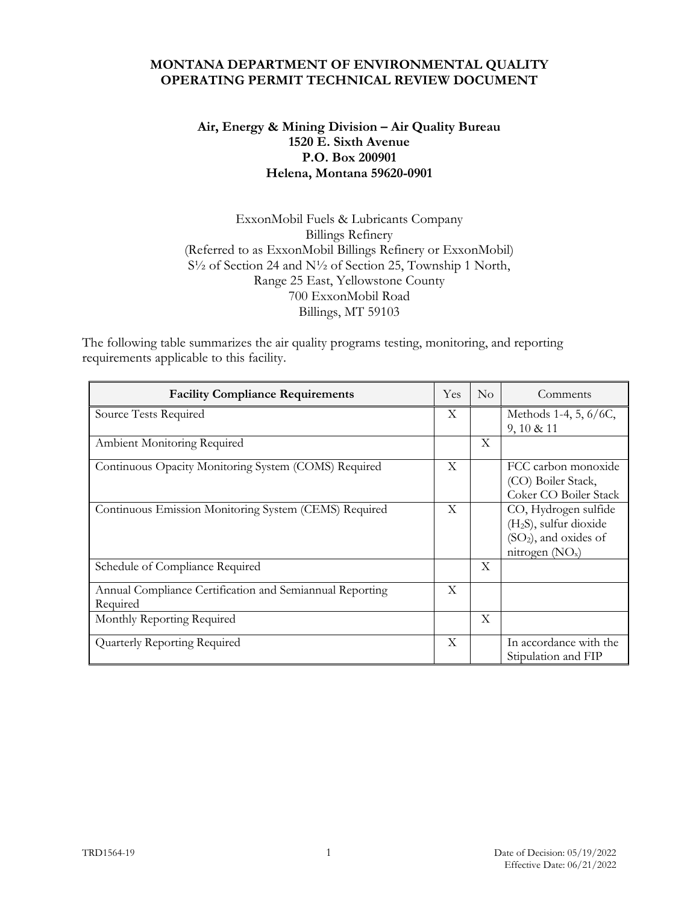#### **MONTANA DEPARTMENT OF ENVIRONMENTAL QUALITY OPERATING PERMIT TECHNICAL REVIEW DOCUMENT**

## **Air, Energy & Mining Division – Air Quality Bureau 1520 E. Sixth Avenue P.O. Box 200901 Helena, Montana 59620-0901**

## ExxonMobil Fuels & Lubricants Company Billings Refinery (Referred to as ExxonMobil Billings Refinery or ExxonMobil) S½ of Section 24 and N½ of Section 25, Township 1 North, Range 25 East, Yellowstone County 700 ExxonMobil Road Billings, MT 59103

The following table summarizes the air quality programs testing, monitoring, and reporting requirements applicable to this facility.

| <b>Facility Compliance Requirements</b>                              | Yes | No           | Comments                                                                                                             |
|----------------------------------------------------------------------|-----|--------------|----------------------------------------------------------------------------------------------------------------------|
| Source Tests Required                                                | X   |              | Methods 1-4, 5, 6/6C,<br>$9, 10 \& 11$                                                                               |
| Ambient Monitoring Required                                          |     | X            |                                                                                                                      |
| Continuous Opacity Monitoring System (COMS) Required                 | X   |              | FCC carbon monoxide<br>(CO) Boiler Stack,<br>Coker CO Boiler Stack                                                   |
| Continuous Emission Monitoring System (CEMS) Required                | X   |              | CO, Hydrogen sulfide<br>(H <sub>2</sub> S), sulfur dioxide<br>(SO <sub>2</sub> ), and oxides of<br>nitrogen $(NO_x)$ |
| Schedule of Compliance Required                                      |     | $\mathbf{X}$ |                                                                                                                      |
| Annual Compliance Certification and Semiannual Reporting<br>Required | X   |              |                                                                                                                      |
| Monthly Reporting Required                                           |     | X            |                                                                                                                      |
| Quarterly Reporting Required                                         | X   |              | In accordance with the<br>Stipulation and FIP                                                                        |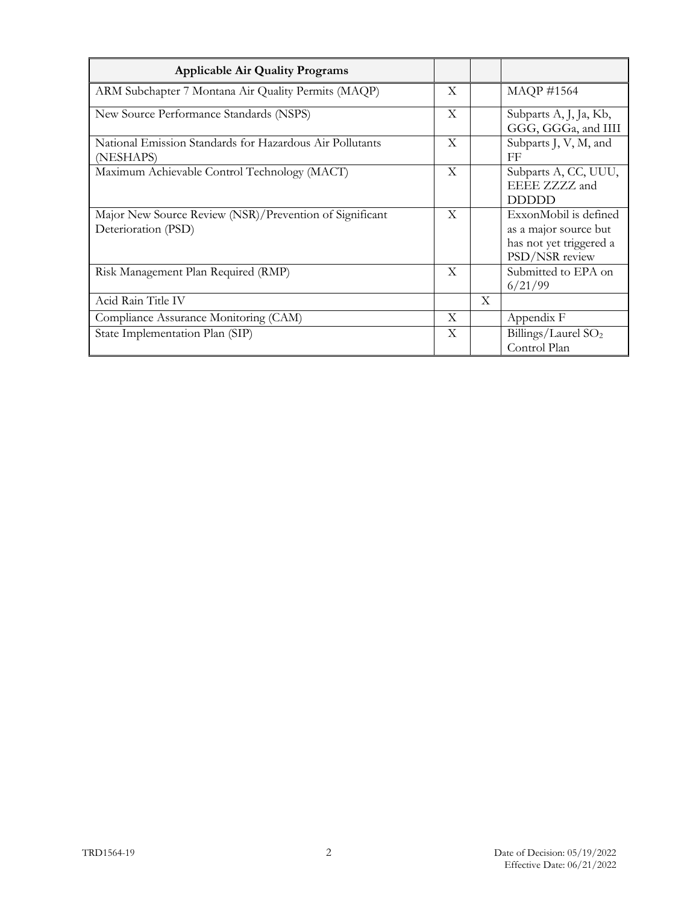| <b>Applicable Air Quality Programs</b>                                         |              |              |                                                                                             |
|--------------------------------------------------------------------------------|--------------|--------------|---------------------------------------------------------------------------------------------|
| ARM Subchapter 7 Montana Air Quality Permits (MAQP)                            | X            |              | <b>MAQP #1564</b>                                                                           |
| New Source Performance Standards (NSPS)                                        | X            |              | Subparts A, J, Ja, Kb,<br>GGG, GGGa, and IIII                                               |
| National Emission Standards for Hazardous Air Pollutants<br>(NESHAPS)          | X            |              | Subparts J, V, M, and<br>FF                                                                 |
| Maximum Achievable Control Technology (MACT)                                   | X            |              | Subparts A, CC, UUU,<br>EEEE ZZZZ and<br><b>DDDDD</b>                                       |
| Major New Source Review (NSR)/Prevention of Significant<br>Deterioration (PSD) | $\mathbf{X}$ |              | ExxonMobil is defined<br>as a major source but<br>has not yet triggered a<br>PSD/NSR review |
| Risk Management Plan Required (RMP)                                            | X            |              | Submitted to EPA on<br>6/21/99                                                              |
| Acid Rain Title IV                                                             |              | $\mathbf{X}$ |                                                                                             |
| Compliance Assurance Monitoring (CAM)                                          | X            |              | Appendix F                                                                                  |
| State Implementation Plan (SIP)                                                | X            |              | Billings/Laurel $SO2$<br>Control Plan                                                       |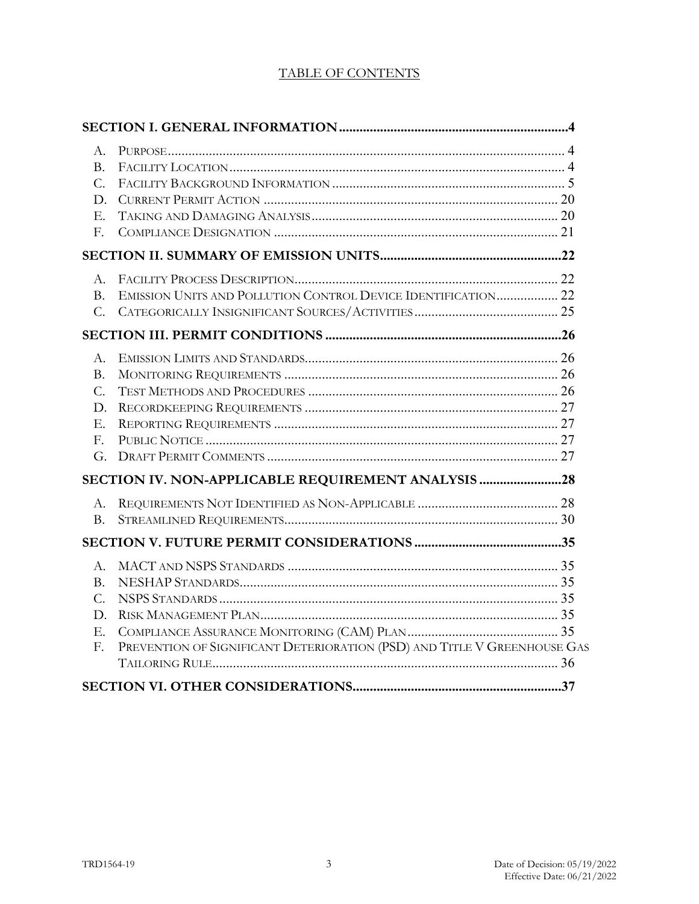# TABLE OF CONTENTS

| $A_{-}$        |                                                                          |  |
|----------------|--------------------------------------------------------------------------|--|
| B.             |                                                                          |  |
| C.             |                                                                          |  |
| D.             |                                                                          |  |
| E.             |                                                                          |  |
| F.             |                                                                          |  |
|                |                                                                          |  |
| $A_{-}$        |                                                                          |  |
| B <sub>1</sub> | EMISSION UNITS AND POLLUTION CONTROL DEVICE IDENTIFICATION 22            |  |
|                |                                                                          |  |
|                |                                                                          |  |
| A.             |                                                                          |  |
| <b>B.</b>      |                                                                          |  |
| C.             |                                                                          |  |
| D.             |                                                                          |  |
| E.             |                                                                          |  |
| $F_{\cdot}$    |                                                                          |  |
|                |                                                                          |  |
|                | SECTION IV. NON-APPLICABLE REQUIREMENT ANALYSIS 28                       |  |
| $A_{\cdot}$    |                                                                          |  |
| <b>B.</b>      |                                                                          |  |
|                |                                                                          |  |
| А.             |                                                                          |  |
| $B_{-}$        |                                                                          |  |
| $C_{\cdot}$    |                                                                          |  |
| D.             |                                                                          |  |
| Ε.             |                                                                          |  |
| F.             | PREVENTION OF SIGNIFICANT DETERIORATION (PSD) AND TITLE V GREENHOUSE GAS |  |
|                |                                                                          |  |
|                |                                                                          |  |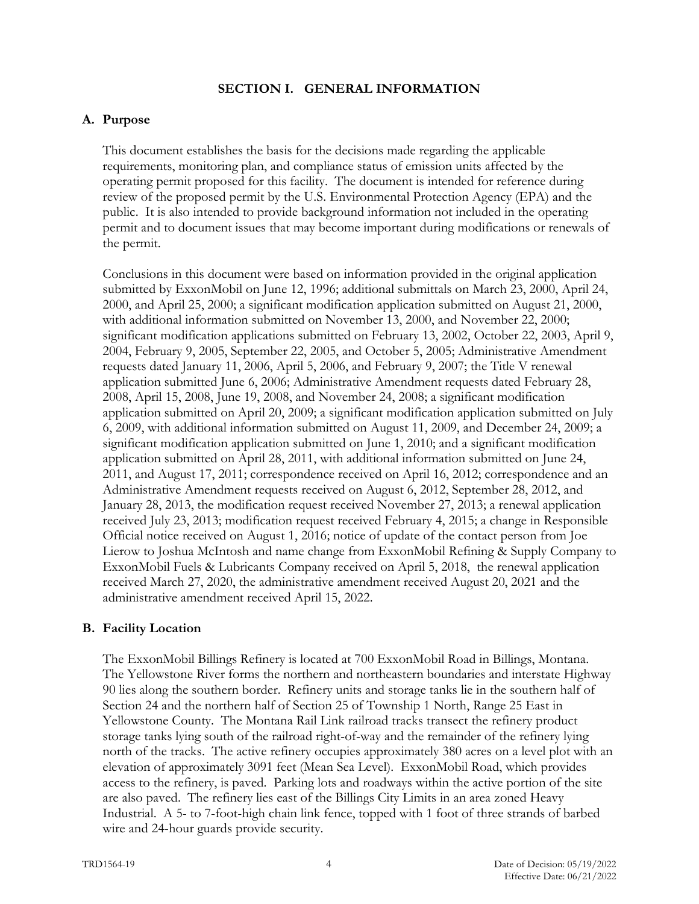#### **SECTION I. GENERAL INFORMATION**

#### **A. Purpose**

This document establishes the basis for the decisions made regarding the applicable requirements, monitoring plan, and compliance status of emission units affected by the operating permit proposed for this facility. The document is intended for reference during review of the proposed permit by the U.S. Environmental Protection Agency (EPA) and the public. It is also intended to provide background information not included in the operating permit and to document issues that may become important during modifications or renewals of the permit.

Conclusions in this document were based on information provided in the original application submitted by ExxonMobil on June 12, 1996; additional submittals on March 23, 2000, April 24, 2000, and April 25, 2000; a significant modification application submitted on August 21, 2000, with additional information submitted on November 13, 2000, and November 22, 2000; significant modification applications submitted on February 13, 2002, October 22, 2003, April 9, 2004, February 9, 2005, September 22, 2005, and October 5, 2005; Administrative Amendment requests dated January 11, 2006, April 5, 2006, and February 9, 2007; the Title V renewal application submitted June 6, 2006; Administrative Amendment requests dated February 28, 2008, April 15, 2008, June 19, 2008, and November 24, 2008; a significant modification application submitted on April 20, 2009; a significant modification application submitted on July 6, 2009, with additional information submitted on August 11, 2009, and December 24, 2009; a significant modification application submitted on June 1, 2010; and a significant modification application submitted on April 28, 2011, with additional information submitted on June 24, 2011, and August 17, 2011; correspondence received on April 16, 2012; correspondence and an Administrative Amendment requests received on August 6, 2012, September 28, 2012, and January 28, 2013, the modification request received November 27, 2013; a renewal application received July 23, 2013; modification request received February 4, 2015; a change in Responsible Official notice received on August 1, 2016; notice of update of the contact person from Joe Lierow to Joshua McIntosh and name change from ExxonMobil Refining & Supply Company to ExxonMobil Fuels & Lubricants Company received on April 5, 2018, the renewal application received March 27, 2020, the administrative amendment received August 20, 2021 and the administrative amendment received April 15, 2022.

### **B. Facility Location**

The ExxonMobil Billings Refinery is located at 700 ExxonMobil Road in Billings, Montana. The Yellowstone River forms the northern and northeastern boundaries and interstate Highway 90 lies along the southern border. Refinery units and storage tanks lie in the southern half of Section 24 and the northern half of Section 25 of Township 1 North, Range 25 East in Yellowstone County. The Montana Rail Link railroad tracks transect the refinery product storage tanks lying south of the railroad right-of-way and the remainder of the refinery lying north of the tracks. The active refinery occupies approximately 380 acres on a level plot with an elevation of approximately 3091 feet (Mean Sea Level). ExxonMobil Road, which provides access to the refinery, is paved. Parking lots and roadways within the active portion of the site are also paved. The refinery lies east of the Billings City Limits in an area zoned Heavy Industrial. A 5- to 7-foot-high chain link fence, topped with 1 foot of three strands of barbed wire and 24-hour guards provide security.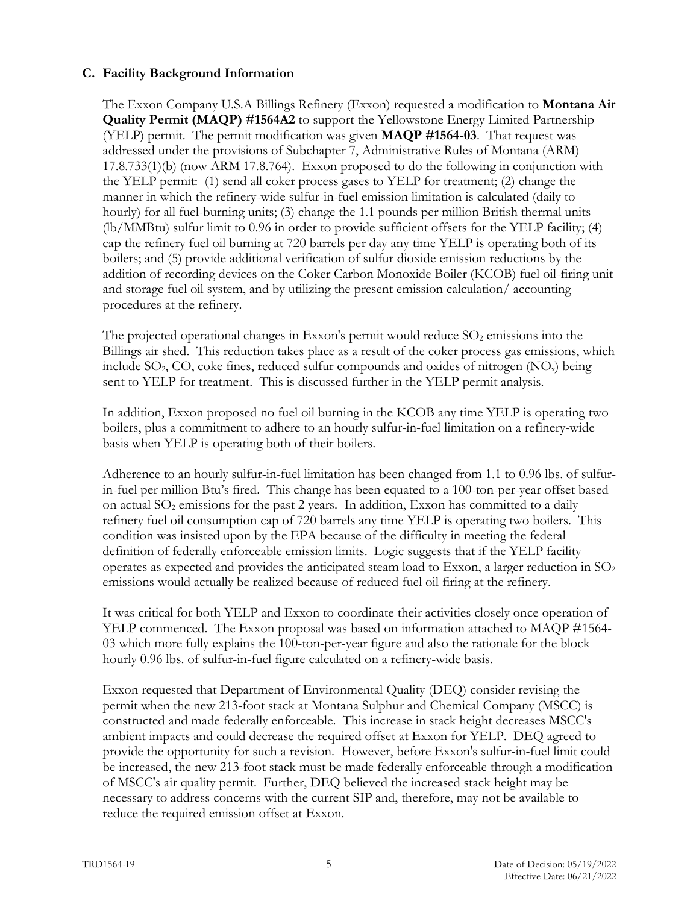## **C. Facility Background Information**

The Exxon Company U.S.A Billings Refinery (Exxon) requested a modification to **Montana Air Quality Permit (MAQP) #1564A2** to support the Yellowstone Energy Limited Partnership (YELP) permit. The permit modification was given **MAQP #1564-03**. That request was addressed under the provisions of Subchapter 7, Administrative Rules of Montana (ARM) 17.8.733(1)(b) (now ARM 17.8.764). Exxon proposed to do the following in conjunction with the YELP permit: (1) send all coker process gases to YELP for treatment; (2) change the manner in which the refinery-wide sulfur-in-fuel emission limitation is calculated (daily to hourly) for all fuel-burning units; (3) change the 1.1 pounds per million British thermal units (lb/MMBtu) sulfur limit to 0.96 in order to provide sufficient offsets for the YELP facility; (4) cap the refinery fuel oil burning at 720 barrels per day any time YELP is operating both of its boilers; and (5) provide additional verification of sulfur dioxide emission reductions by the addition of recording devices on the Coker Carbon Monoxide Boiler (KCOB) fuel oil-firing unit and storage fuel oil system, and by utilizing the present emission calculation/ accounting procedures at the refinery.

The projected operational changes in Exxon's permit would reduce  $SO<sub>2</sub>$  emissions into the Billings air shed. This reduction takes place as a result of the coker process gas emissions, which include  $SO_2$ , CO, coke fines, reduced sulfur compounds and oxides of nitrogen  $(NO_x)$  being sent to YELP for treatment. This is discussed further in the YELP permit analysis.

In addition, Exxon proposed no fuel oil burning in the KCOB any time YELP is operating two boilers, plus a commitment to adhere to an hourly sulfur-in-fuel limitation on a refinery-wide basis when YELP is operating both of their boilers.

Adherence to an hourly sulfur-in-fuel limitation has been changed from 1.1 to 0.96 lbs. of sulfurin-fuel per million Btu's fired. This change has been equated to a 100-ton-per-year offset based on actual SO<sub>2</sub> emissions for the past 2 years. In addition, Exxon has committed to a daily refinery fuel oil consumption cap of 720 barrels any time YELP is operating two boilers. This condition was insisted upon by the EPA because of the difficulty in meeting the federal definition of federally enforceable emission limits. Logic suggests that if the YELP facility operates as expected and provides the anticipated steam load to Exxon, a larger reduction in  $SO<sub>2</sub>$ emissions would actually be realized because of reduced fuel oil firing at the refinery.

It was critical for both YELP and Exxon to coordinate their activities closely once operation of YELP commenced. The Exxon proposal was based on information attached to MAQP #1564- 03 which more fully explains the 100-ton-per-year figure and also the rationale for the block hourly 0.96 lbs. of sulfur-in-fuel figure calculated on a refinery-wide basis.

Exxon requested that Department of Environmental Quality (DEQ) consider revising the permit when the new 213-foot stack at Montana Sulphur and Chemical Company (MSCC) is constructed and made federally enforceable. This increase in stack height decreases MSCC's ambient impacts and could decrease the required offset at Exxon for YELP. DEQ agreed to provide the opportunity for such a revision. However, before Exxon's sulfur-in-fuel limit could be increased, the new 213-foot stack must be made federally enforceable through a modification of MSCC's air quality permit. Further, DEQ believed the increased stack height may be necessary to address concerns with the current SIP and, therefore, may not be available to reduce the required emission offset at Exxon.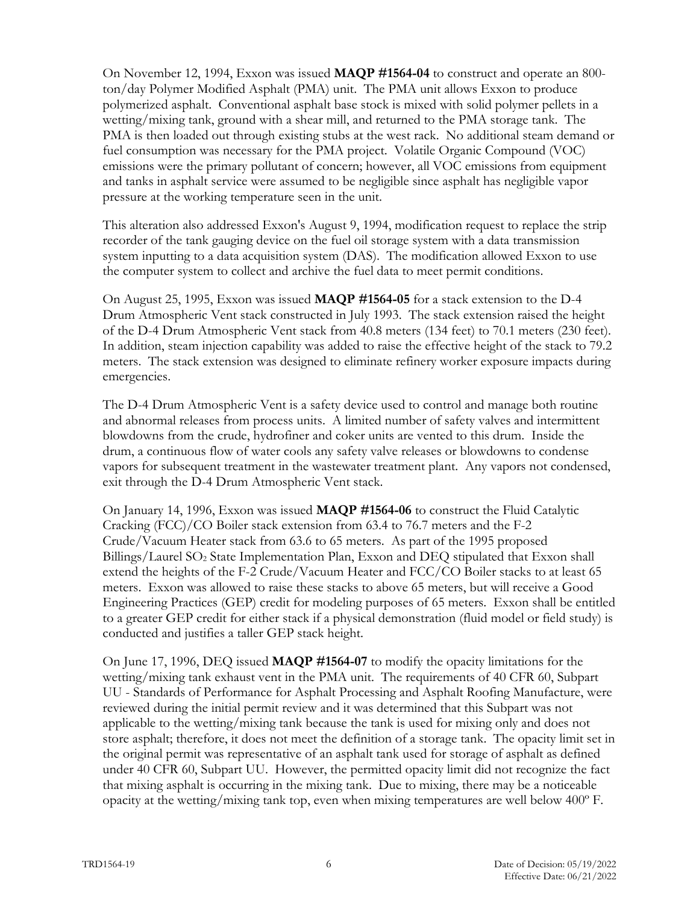On November 12, 1994, Exxon was issued **MAQP #1564-04** to construct and operate an 800 ton/day Polymer Modified Asphalt (PMA) unit. The PMA unit allows Exxon to produce polymerized asphalt. Conventional asphalt base stock is mixed with solid polymer pellets in a wetting/mixing tank, ground with a shear mill, and returned to the PMA storage tank. The PMA is then loaded out through existing stubs at the west rack. No additional steam demand or fuel consumption was necessary for the PMA project. Volatile Organic Compound (VOC) emissions were the primary pollutant of concern; however, all VOC emissions from equipment and tanks in asphalt service were assumed to be negligible since asphalt has negligible vapor pressure at the working temperature seen in the unit.

This alteration also addressed Exxon's August 9, 1994, modification request to replace the strip recorder of the tank gauging device on the fuel oil storage system with a data transmission system inputting to a data acquisition system (DAS). The modification allowed Exxon to use the computer system to collect and archive the fuel data to meet permit conditions.

On August 25, 1995, Exxon was issued **MAQP #1564-05** for a stack extension to the D-4 Drum Atmospheric Vent stack constructed in July 1993. The stack extension raised the height of the D-4 Drum Atmospheric Vent stack from 40.8 meters (134 feet) to 70.1 meters (230 feet). In addition, steam injection capability was added to raise the effective height of the stack to 79.2 meters. The stack extension was designed to eliminate refinery worker exposure impacts during emergencies.

The D-4 Drum Atmospheric Vent is a safety device used to control and manage both routine and abnormal releases from process units. A limited number of safety valves and intermittent blowdowns from the crude, hydrofiner and coker units are vented to this drum. Inside the drum, a continuous flow of water cools any safety valve releases or blowdowns to condense vapors for subsequent treatment in the wastewater treatment plant. Any vapors not condensed, exit through the D-4 Drum Atmospheric Vent stack.

On January 14, 1996, Exxon was issued **MAQP #1564-06** to construct the Fluid Catalytic Cracking (FCC)/CO Boiler stack extension from 63.4 to 76.7 meters and the F-2 Crude/Vacuum Heater stack from 63.6 to 65 meters. As part of the 1995 proposed Billings/Laurel SO2 State Implementation Plan, Exxon and DEQ stipulated that Exxon shall extend the heights of the F-2 Crude/Vacuum Heater and FCC/CO Boiler stacks to at least 65 meters. Exxon was allowed to raise these stacks to above 65 meters, but will receive a Good Engineering Practices (GEP) credit for modeling purposes of 65 meters. Exxon shall be entitled to a greater GEP credit for either stack if a physical demonstration (fluid model or field study) is conducted and justifies a taller GEP stack height.

On June 17, 1996, DEQ issued **MAQP #1564-07** to modify the opacity limitations for the wetting/mixing tank exhaust vent in the PMA unit. The requirements of 40 CFR 60, Subpart UU - Standards of Performance for Asphalt Processing and Asphalt Roofing Manufacture, were reviewed during the initial permit review and it was determined that this Subpart was not applicable to the wetting/mixing tank because the tank is used for mixing only and does not store asphalt; therefore, it does not meet the definition of a storage tank. The opacity limit set in the original permit was representative of an asphalt tank used for storage of asphalt as defined under 40 CFR 60, Subpart UU. However, the permitted opacity limit did not recognize the fact that mixing asphalt is occurring in the mixing tank. Due to mixing, there may be a noticeable opacity at the wetting/mixing tank top, even when mixing temperatures are well below 400º F.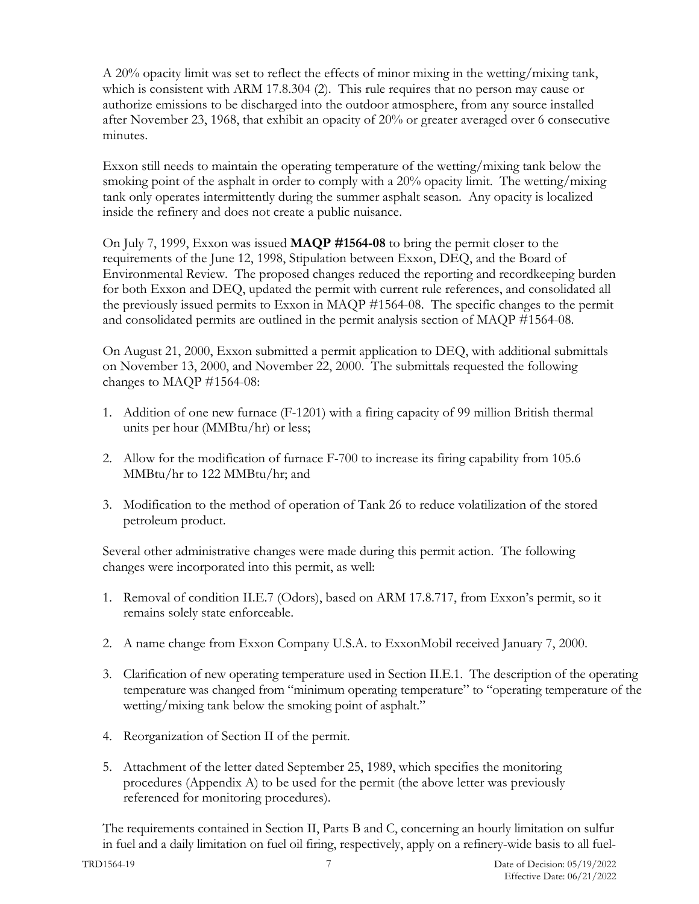A 20% opacity limit was set to reflect the effects of minor mixing in the wetting/mixing tank, which is consistent with ARM 17.8.304 (2). This rule requires that no person may cause or authorize emissions to be discharged into the outdoor atmosphere, from any source installed after November 23, 1968, that exhibit an opacity of 20% or greater averaged over 6 consecutive minutes.

Exxon still needs to maintain the operating temperature of the wetting/mixing tank below the smoking point of the asphalt in order to comply with a 20% opacity limit. The wetting/mixing tank only operates intermittently during the summer asphalt season. Any opacity is localized inside the refinery and does not create a public nuisance.

On July 7, 1999, Exxon was issued **MAQP #1564-08** to bring the permit closer to the requirements of the June 12, 1998, Stipulation between Exxon, DEQ, and the Board of Environmental Review. The proposed changes reduced the reporting and recordkeeping burden for both Exxon and DEQ, updated the permit with current rule references, and consolidated all the previously issued permits to Exxon in MAQP #1564-08. The specific changes to the permit and consolidated permits are outlined in the permit analysis section of MAQP #1564-08.

On August 21, 2000, Exxon submitted a permit application to DEQ, with additional submittals on November 13, 2000, and November 22, 2000. The submittals requested the following changes to MAQP #1564-08:

- 1. Addition of one new furnace (F-1201) with a firing capacity of 99 million British thermal units per hour (MMBtu/hr) or less;
- 2. Allow for the modification of furnace F-700 to increase its firing capability from 105.6 MMBtu/hr to 122 MMBtu/hr; and
- 3. Modification to the method of operation of Tank 26 to reduce volatilization of the stored petroleum product.

Several other administrative changes were made during this permit action. The following changes were incorporated into this permit, as well:

- 1. Removal of condition II.E.7 (Odors), based on ARM 17.8.717, from Exxon's permit, so it remains solely state enforceable.
- 2. A name change from Exxon Company U.S.A. to ExxonMobil received January 7, 2000.
- 3. Clarification of new operating temperature used in Section II.E.1. The description of the operating temperature was changed from "minimum operating temperature" to "operating temperature of the wetting/mixing tank below the smoking point of asphalt."
- 4. Reorganization of Section II of the permit.
- 5. Attachment of the letter dated September 25, 1989, which specifies the monitoring procedures (Appendix A) to be used for the permit (the above letter was previously referenced for monitoring procedures).

The requirements contained in Section II, Parts B and C, concerning an hourly limitation on sulfur in fuel and a daily limitation on fuel oil firing, respectively, apply on a refinery-wide basis to all fuel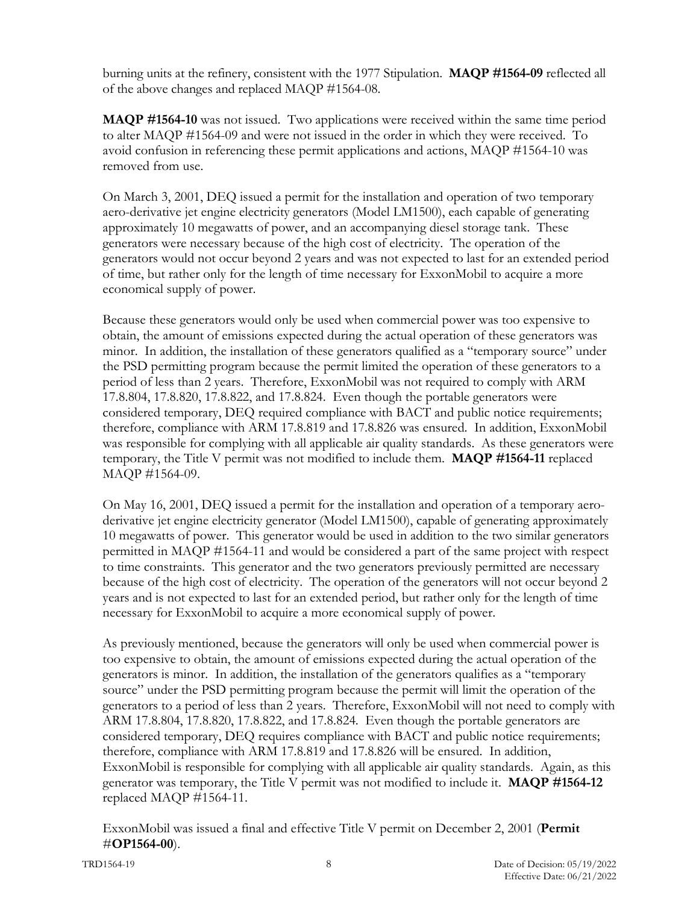burning units at the refinery, consistent with the 1977 Stipulation. **MAQP #1564-09** reflected all of the above changes and replaced MAQP #1564-08.

**MAQP #1564-10** was not issued. Two applications were received within the same time period to alter MAQP #1564-09 and were not issued in the order in which they were received. To avoid confusion in referencing these permit applications and actions, MAQP #1564-10 was removed from use.

On March 3, 2001, DEQ issued a permit for the installation and operation of two temporary aero-derivative jet engine electricity generators (Model LM1500), each capable of generating approximately 10 megawatts of power, and an accompanying diesel storage tank. These generators were necessary because of the high cost of electricity. The operation of the generators would not occur beyond 2 years and was not expected to last for an extended period of time, but rather only for the length of time necessary for ExxonMobil to acquire a more economical supply of power.

Because these generators would only be used when commercial power was too expensive to obtain, the amount of emissions expected during the actual operation of these generators was minor. In addition, the installation of these generators qualified as a "temporary source" under the PSD permitting program because the permit limited the operation of these generators to a period of less than 2 years. Therefore, ExxonMobil was not required to comply with ARM 17.8.804, 17.8.820, 17.8.822, and 17.8.824. Even though the portable generators were considered temporary, DEQ required compliance with BACT and public notice requirements; therefore, compliance with ARM 17.8.819 and 17.8.826 was ensured. In addition, ExxonMobil was responsible for complying with all applicable air quality standards. As these generators were temporary, the Title V permit was not modified to include them. **MAQP #1564-11** replaced MAQP #1564-09.

On May 16, 2001, DEQ issued a permit for the installation and operation of a temporary aeroderivative jet engine electricity generator (Model LM1500), capable of generating approximately 10 megawatts of power. This generator would be used in addition to the two similar generators permitted in MAQP #1564-11 and would be considered a part of the same project with respect to time constraints. This generator and the two generators previously permitted are necessary because of the high cost of electricity. The operation of the generators will not occur beyond 2 years and is not expected to last for an extended period, but rather only for the length of time necessary for ExxonMobil to acquire a more economical supply of power.

As previously mentioned, because the generators will only be used when commercial power is too expensive to obtain, the amount of emissions expected during the actual operation of the generators is minor. In addition, the installation of the generators qualifies as a "temporary source" under the PSD permitting program because the permit will limit the operation of the generators to a period of less than 2 years. Therefore, ExxonMobil will not need to comply with ARM 17.8.804, 17.8.820, 17.8.822, and 17.8.824. Even though the portable generators are considered temporary, DEQ requires compliance with BACT and public notice requirements; therefore, compliance with ARM 17.8.819 and 17.8.826 will be ensured. In addition, ExxonMobil is responsible for complying with all applicable air quality standards. Again, as this generator was temporary, the Title V permit was not modified to include it. **MAQP #1564-12** replaced MAQP #1564-11.

ExxonMobil was issued a final and effective Title V permit on December 2, 2001 (**Permit**  #**OP1564-00**).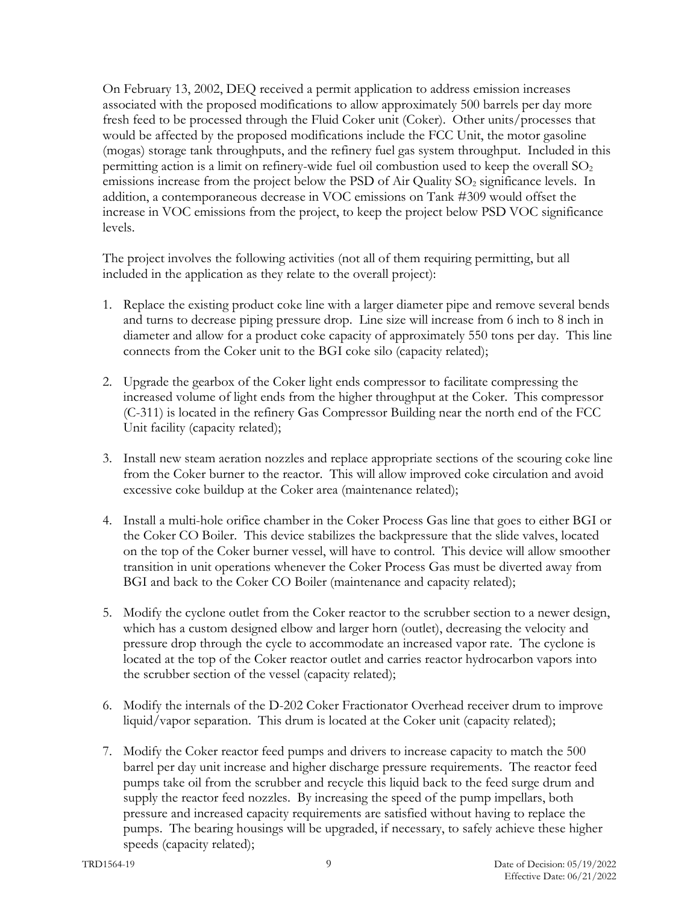On February 13, 2002, DEQ received a permit application to address emission increases associated with the proposed modifications to allow approximately 500 barrels per day more fresh feed to be processed through the Fluid Coker unit (Coker). Other units/processes that would be affected by the proposed modifications include the FCC Unit, the motor gasoline (mogas) storage tank throughputs, and the refinery fuel gas system throughput. Included in this permitting action is a limit on refinery-wide fuel oil combustion used to keep the overall  $SO<sub>2</sub>$ emissions increase from the project below the PSD of Air Quality  $SO_2$  significance levels. In addition, a contemporaneous decrease in VOC emissions on Tank #309 would offset the increase in VOC emissions from the project, to keep the project below PSD VOC significance levels.

The project involves the following activities (not all of them requiring permitting, but all included in the application as they relate to the overall project):

- 1. Replace the existing product coke line with a larger diameter pipe and remove several bends and turns to decrease piping pressure drop. Line size will increase from 6 inch to 8 inch in diameter and allow for a product coke capacity of approximately 550 tons per day. This line connects from the Coker unit to the BGI coke silo (capacity related);
- 2. Upgrade the gearbox of the Coker light ends compressor to facilitate compressing the increased volume of light ends from the higher throughput at the Coker. This compressor (C-311) is located in the refinery Gas Compressor Building near the north end of the FCC Unit facility (capacity related);
- 3. Install new steam aeration nozzles and replace appropriate sections of the scouring coke line from the Coker burner to the reactor. This will allow improved coke circulation and avoid excessive coke buildup at the Coker area (maintenance related);
- 4. Install a multi-hole orifice chamber in the Coker Process Gas line that goes to either BGI or the Coker CO Boiler. This device stabilizes the backpressure that the slide valves, located on the top of the Coker burner vessel, will have to control. This device will allow smoother transition in unit operations whenever the Coker Process Gas must be diverted away from BGI and back to the Coker CO Boiler (maintenance and capacity related);
- 5. Modify the cyclone outlet from the Coker reactor to the scrubber section to a newer design, which has a custom designed elbow and larger horn (outlet), decreasing the velocity and pressure drop through the cycle to accommodate an increased vapor rate. The cyclone is located at the top of the Coker reactor outlet and carries reactor hydrocarbon vapors into the scrubber section of the vessel (capacity related);
- 6. Modify the internals of the D-202 Coker Fractionator Overhead receiver drum to improve liquid/vapor separation. This drum is located at the Coker unit (capacity related);
- 7. Modify the Coker reactor feed pumps and drivers to increase capacity to match the 500 barrel per day unit increase and higher discharge pressure requirements. The reactor feed pumps take oil from the scrubber and recycle this liquid back to the feed surge drum and supply the reactor feed nozzles. By increasing the speed of the pump impellars, both pressure and increased capacity requirements are satisfied without having to replace the pumps. The bearing housings will be upgraded, if necessary, to safely achieve these higher speeds (capacity related);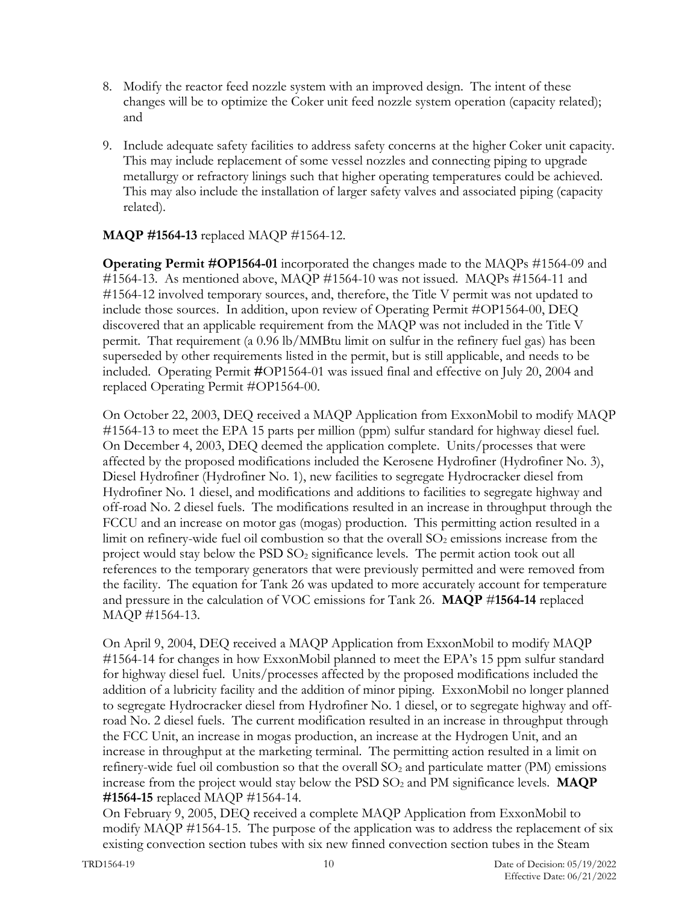- 8. Modify the reactor feed nozzle system with an improved design. The intent of these changes will be to optimize the Coker unit feed nozzle system operation (capacity related); and
- 9. Include adequate safety facilities to address safety concerns at the higher Coker unit capacity. This may include replacement of some vessel nozzles and connecting piping to upgrade metallurgy or refractory linings such that higher operating temperatures could be achieved. This may also include the installation of larger safety valves and associated piping (capacity related).

## **MAQP #1564-13** replaced MAQP #1564-12.

**Operating Permit #OP1564-01** incorporated the changes made to the MAQPs #1564-09 and #1564-13. As mentioned above, MAQP #1564-10 was not issued. MAQPs #1564-11 and #1564-12 involved temporary sources, and, therefore, the Title V permit was not updated to include those sources. In addition, upon review of Operating Permit #OP1564-00, DEQ discovered that an applicable requirement from the MAQP was not included in the Title V permit. That requirement (a 0.96 lb/MMBtu limit on sulfur in the refinery fuel gas) has been superseded by other requirements listed in the permit, but is still applicable, and needs to be included. Operating Permit **#**OP1564-01 was issued final and effective on July 20, 2004 and replaced Operating Permit #OP1564-00.

On October 22, 2003, DEQ received a MAQP Application from ExxonMobil to modify MAQP #1564-13 to meet the EPA 15 parts per million (ppm) sulfur standard for highway diesel fuel. On December 4, 2003, DEQ deemed the application complete. Units/processes that were affected by the proposed modifications included the Kerosene Hydrofiner (Hydrofiner No. 3), Diesel Hydrofiner (Hydrofiner No. 1), new facilities to segregate Hydrocracker diesel from Hydrofiner No. 1 diesel, and modifications and additions to facilities to segregate highway and off-road No. 2 diesel fuels. The modifications resulted in an increase in throughput through the FCCU and an increase on motor gas (mogas) production. This permitting action resulted in a limit on refinery-wide fuel oil combustion so that the overall  $SO<sub>2</sub>$  emissions increase from the project would stay below the  $PSD SO<sub>2</sub>$  significance levels. The permit action took out all references to the temporary generators that were previously permitted and were removed from the facility. The equation for Tank 26 was updated to more accurately account for temperature and pressure in the calculation of VOC emissions for Tank 26. **MAQP** #**1564-14** replaced MAQP #1564-13.

On April 9, 2004, DEQ received a MAQP Application from ExxonMobil to modify MAQP #1564-14 for changes in how ExxonMobil planned to meet the EPA's 15 ppm sulfur standard for highway diesel fuel. Units/processes affected by the proposed modifications included the addition of a lubricity facility and the addition of minor piping. ExxonMobil no longer planned to segregate Hydrocracker diesel from Hydrofiner No. 1 diesel, or to segregate highway and offroad No. 2 diesel fuels. The current modification resulted in an increase in throughput through the FCC Unit, an increase in mogas production, an increase at the Hydrogen Unit, and an increase in throughput at the marketing terminal. The permitting action resulted in a limit on refinery-wide fuel oil combustion so that the overall  $SO<sub>2</sub>$  and particulate matter (PM) emissions increase from the project would stay below the  $PSD SO<sub>2</sub>$  and PM significance levels. **MAQP #1564-15** replaced MAQP #1564-14.

On February 9, 2005, DEQ received a complete MAQP Application from ExxonMobil to modify MAQP #1564-15. The purpose of the application was to address the replacement of six existing convection section tubes with six new finned convection section tubes in the Steam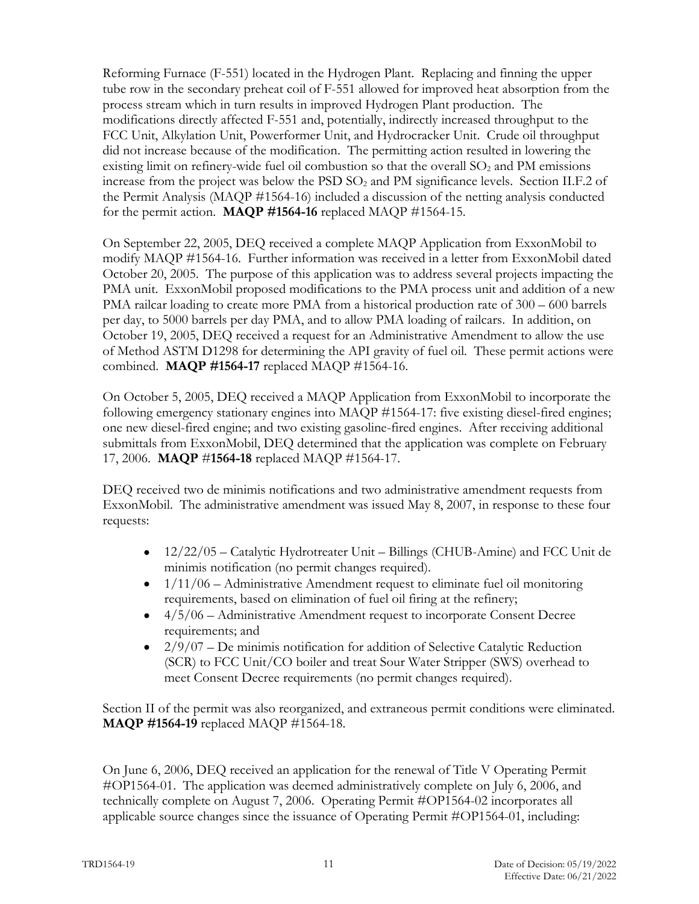Reforming Furnace (F-551) located in the Hydrogen Plant. Replacing and finning the upper tube row in the secondary preheat coil of F-551 allowed for improved heat absorption from the process stream which in turn results in improved Hydrogen Plant production. The modifications directly affected F-551 and, potentially, indirectly increased throughput to the FCC Unit, Alkylation Unit, Powerformer Unit, and Hydrocracker Unit. Crude oil throughput did not increase because of the modification. The permitting action resulted in lowering the existing limit on refinery-wide fuel oil combustion so that the overall  $SO<sub>2</sub>$  and PM emissions increase from the project was below the  $PSD SO<sub>2</sub>$  and PM significance levels. Section II.F.2 of the Permit Analysis (MAQP #1564-16) included a discussion of the netting analysis conducted for the permit action. **MAQP #1564-16** replaced MAQP #1564-15.

On September 22, 2005, DEQ received a complete MAQP Application from ExxonMobil to modify MAQP #1564-16. Further information was received in a letter from ExxonMobil dated October 20, 2005. The purpose of this application was to address several projects impacting the PMA unit. ExxonMobil proposed modifications to the PMA process unit and addition of a new PMA railcar loading to create more PMA from a historical production rate of 300 – 600 barrels per day, to 5000 barrels per day PMA, and to allow PMA loading of railcars. In addition, on October 19, 2005, DEQ received a request for an Administrative Amendment to allow the use of Method ASTM D1298 for determining the API gravity of fuel oil. These permit actions were combined. **MAQP #1564-17** replaced MAQP #1564-16.

On October 5, 2005, DEQ received a MAQP Application from ExxonMobil to incorporate the following emergency stationary engines into MAQP #1564-17: five existing diesel-fired engines; one new diesel-fired engine; and two existing gasoline-fired engines. After receiving additional submittals from ExxonMobil, DEQ determined that the application was complete on February 17, 2006. **MAQP** #**1564-18** replaced MAQP #1564-17.

DEQ received two de minimis notifications and two administrative amendment requests from ExxonMobil. The administrative amendment was issued May 8, 2007, in response to these four requests:

- 12/22/05 Catalytic Hydrotreater Unit Billings (CHUB-Amine) and FCC Unit de minimis notification (no permit changes required).
- $\bullet$  1/11/06 Administrative Amendment request to eliminate fuel oil monitoring requirements, based on elimination of fuel oil firing at the refinery;
- 4/5/06 Administrative Amendment request to incorporate Consent Decree requirements; and
- $2/9/07$  De minimis notification for addition of Selective Catalytic Reduction (SCR) to FCC Unit/CO boiler and treat Sour Water Stripper (SWS) overhead to meet Consent Decree requirements (no permit changes required).

Section II of the permit was also reorganized, and extraneous permit conditions were eliminated. **MAQP #1564-19** replaced MAQP #1564-18.

On June 6, 2006, DEQ received an application for the renewal of Title V Operating Permit #OP1564-01. The application was deemed administratively complete on July 6, 2006, and technically complete on August 7, 2006. Operating Permit #OP1564-02 incorporates all applicable source changes since the issuance of Operating Permit #OP1564-01, including: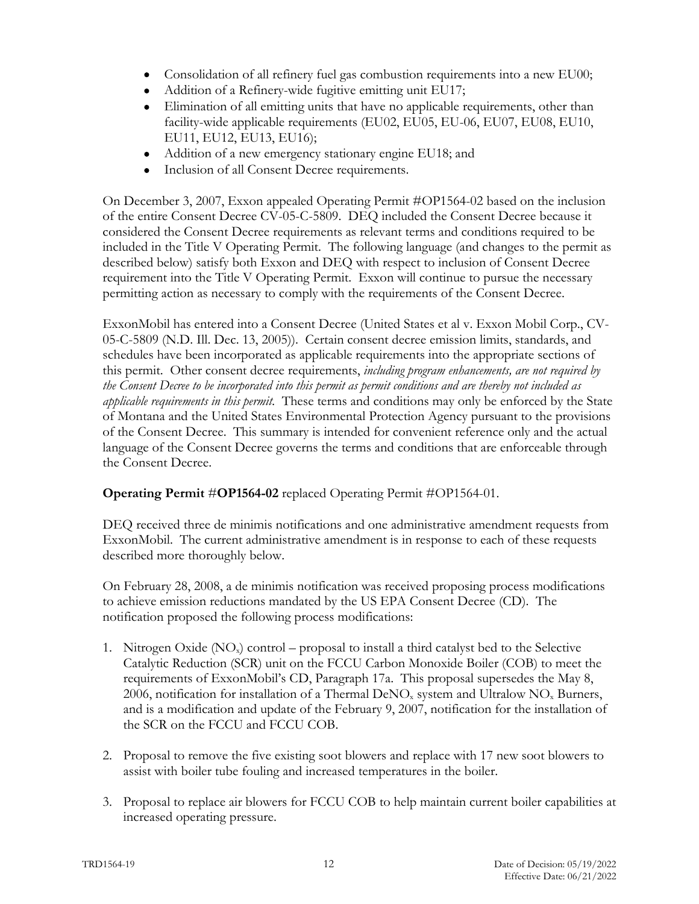- Consolidation of all refinery fuel gas combustion requirements into a new EU00;
- Addition of a Refinery-wide fugitive emitting unit EU17;
- Elimination of all emitting units that have no applicable requirements, other than facility-wide applicable requirements (EU02, EU05, EU-06, EU07, EU08, EU10, EU11, EU12, EU13, EU16);
- Addition of a new emergency stationary engine EU18; and
- Inclusion of all Consent Decree requirements.

On December 3, 2007, Exxon appealed Operating Permit #OP1564-02 based on the inclusion of the entire Consent Decree CV-05-C-5809. DEQ included the Consent Decree because it considered the Consent Decree requirements as relevant terms and conditions required to be included in the Title V Operating Permit. The following language (and changes to the permit as described below) satisfy both Exxon and DEQ with respect to inclusion of Consent Decree requirement into the Title V Operating Permit. Exxon will continue to pursue the necessary permitting action as necessary to comply with the requirements of the Consent Decree.

ExxonMobil has entered into a Consent Decree (United States et al v. Exxon Mobil Corp., CV-05-C-5809 (N.D. Ill. Dec. 13, 2005)). Certain consent decree emission limits, standards, and schedules have been incorporated as applicable requirements into the appropriate sections of this permit. Other consent decree requirements, *including program enhancements, are not required by the Consent Decree to be incorporated into this permit as permit conditions and are thereby not included as applicable requirements in this permit.* These terms and conditions may only be enforced by the State of Montana and the United States Environmental Protection Agency pursuant to the provisions of the Consent Decree. This summary is intended for convenient reference only and the actual language of the Consent Decree governs the terms and conditions that are enforceable through the Consent Decree.

# **Operating Permit** #**OP1564-02** replaced Operating Permit #OP1564-01.

DEQ received three de minimis notifications and one administrative amendment requests from ExxonMobil. The current administrative amendment is in response to each of these requests described more thoroughly below.

On February 28, 2008, a de minimis notification was received proposing process modifications to achieve emission reductions mandated by the US EPA Consent Decree (CD). The notification proposed the following process modifications:

- 1. Nitrogen Oxide  $(NO_x)$  control proposal to install a third catalyst bed to the Selective Catalytic Reduction (SCR) unit on the FCCU Carbon Monoxide Boiler (COB) to meet the requirements of ExxonMobil's CD, Paragraph 17a. This proposal supersedes the May 8, 2006, notification for installation of a Thermal  $DeNO<sub>x</sub>$  system and Ultralow  $NO<sub>x</sub>$  Burners, and is a modification and update of the February 9, 2007, notification for the installation of the SCR on the FCCU and FCCU COB.
- 2. Proposal to remove the five existing soot blowers and replace with 17 new soot blowers to assist with boiler tube fouling and increased temperatures in the boiler.
- 3. Proposal to replace air blowers for FCCU COB to help maintain current boiler capabilities at increased operating pressure.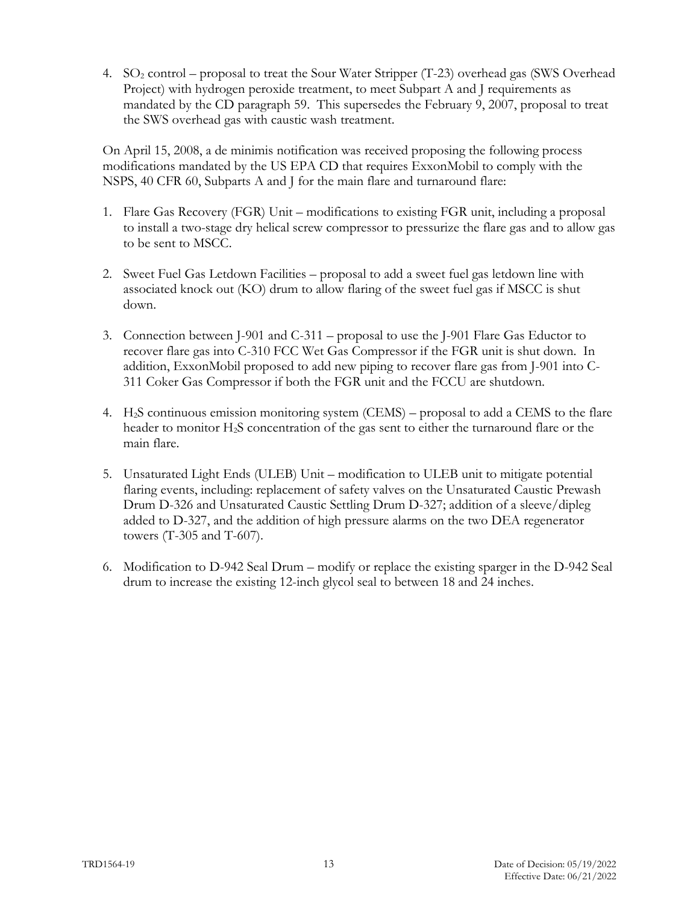4. SO2 control – proposal to treat the Sour Water Stripper (T-23) overhead gas (SWS Overhead Project) with hydrogen peroxide treatment, to meet Subpart A and J requirements as mandated by the CD paragraph 59. This supersedes the February 9, 2007, proposal to treat the SWS overhead gas with caustic wash treatment.

On April 15, 2008, a de minimis notification was received proposing the following process modifications mandated by the US EPA CD that requires ExxonMobil to comply with the NSPS, 40 CFR 60, Subparts A and J for the main flare and turnaround flare:

- 1. Flare Gas Recovery (FGR) Unit modifications to existing FGR unit, including a proposal to install a two-stage dry helical screw compressor to pressurize the flare gas and to allow gas to be sent to MSCC.
- 2. Sweet Fuel Gas Letdown Facilities proposal to add a sweet fuel gas letdown line with associated knock out (KO) drum to allow flaring of the sweet fuel gas if MSCC is shut down.
- 3. Connection between J-901 and C-311 proposal to use the J-901 Flare Gas Eductor to recover flare gas into C-310 FCC Wet Gas Compressor if the FGR unit is shut down. In addition, ExxonMobil proposed to add new piping to recover flare gas from J-901 into C-311 Coker Gas Compressor if both the FGR unit and the FCCU are shutdown.
- 4. H2S continuous emission monitoring system (CEMS) proposal to add a CEMS to the flare header to monitor H2S concentration of the gas sent to either the turnaround flare or the main flare.
- 5. Unsaturated Light Ends (ULEB) Unit modification to ULEB unit to mitigate potential flaring events, including: replacement of safety valves on the Unsaturated Caustic Prewash Drum D-326 and Unsaturated Caustic Settling Drum D-327; addition of a sleeve/dipleg added to D-327, and the addition of high pressure alarms on the two DEA regenerator towers (T-305 and T-607).
- 6. Modification to D-942 Seal Drum modify or replace the existing sparger in the D-942 Seal drum to increase the existing 12-inch glycol seal to between 18 and 24 inches.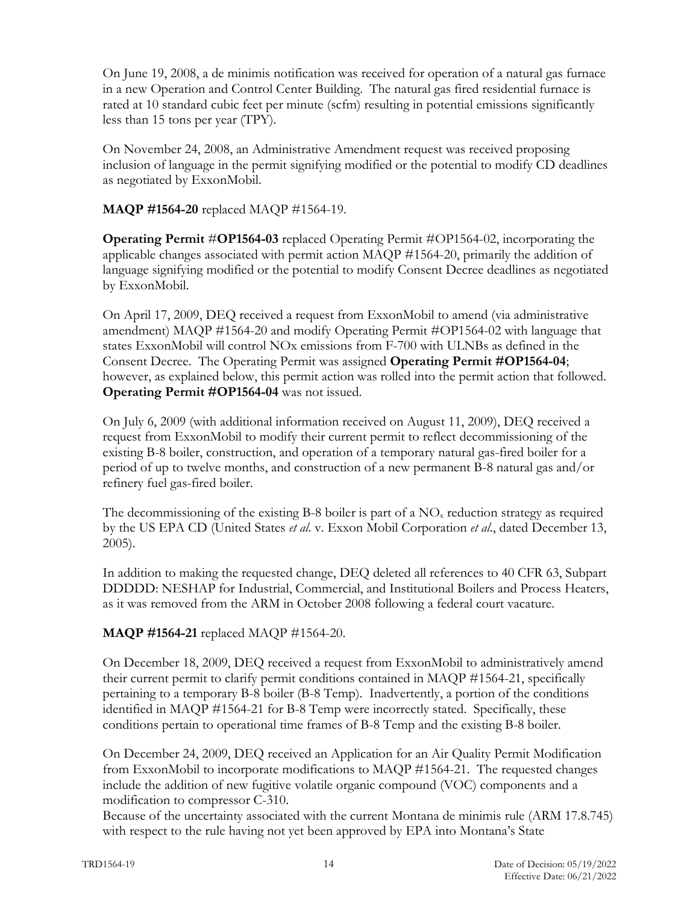On June 19, 2008, a de minimis notification was received for operation of a natural gas furnace in a new Operation and Control Center Building. The natural gas fired residential furnace is rated at 10 standard cubic feet per minute (scfm) resulting in potential emissions significantly less than 15 tons per year (TPY).

On November 24, 2008, an Administrative Amendment request was received proposing inclusion of language in the permit signifying modified or the potential to modify CD deadlines as negotiated by ExxonMobil.

**MAQP #1564-20** replaced MAQP #1564-19.

**Operating Permit** #**OP1564-03** replaced Operating Permit #OP1564-02, incorporating the applicable changes associated with permit action MAQP #1564-20, primarily the addition of language signifying modified or the potential to modify Consent Decree deadlines as negotiated by ExxonMobil.

On April 17, 2009, DEQ received a request from ExxonMobil to amend (via administrative amendment) MAQP #1564-20 and modify Operating Permit #OP1564-02 with language that states ExxonMobil will control NOx emissions from F-700 with ULNBs as defined in the Consent Decree. The Operating Permit was assigned **Operating Permit #OP1564-04**; however, as explained below, this permit action was rolled into the permit action that followed. **Operating Permit #OP1564-04** was not issued.

On July 6, 2009 (with additional information received on August 11, 2009), DEQ received a request from ExxonMobil to modify their current permit to reflect decommissioning of the existing B-8 boiler, construction, and operation of a temporary natural gas-fired boiler for a period of up to twelve months, and construction of a new permanent B-8 natural gas and/or refinery fuel gas-fired boiler.

The decommissioning of the existing B-8 boiler is part of a  $NO<sub>x</sub>$  reduction strategy as required by the US EPA CD (United States *et al*. v. Exxon Mobil Corporation *et al*., dated December 13, 2005).

In addition to making the requested change, DEQ deleted all references to 40 CFR 63, Subpart DDDDD: NESHAP for Industrial, Commercial, and Institutional Boilers and Process Heaters, as it was removed from the ARM in October 2008 following a federal court vacature.

# **MAQP #1564-21** replaced MAQP #1564-20.

On December 18, 2009, DEQ received a request from ExxonMobil to administratively amend their current permit to clarify permit conditions contained in MAQP #1564-21, specifically pertaining to a temporary B-8 boiler (B-8 Temp). Inadvertently, a portion of the conditions identified in MAQP #1564-21 for B-8 Temp were incorrectly stated. Specifically, these conditions pertain to operational time frames of B-8 Temp and the existing B-8 boiler.

On December 24, 2009, DEQ received an Application for an Air Quality Permit Modification from ExxonMobil to incorporate modifications to MAQP #1564-21. The requested changes include the addition of new fugitive volatile organic compound (VOC) components and a modification to compressor C-310.

Because of the uncertainty associated with the current Montana de minimis rule (ARM 17.8.745) with respect to the rule having not yet been approved by EPA into Montana's State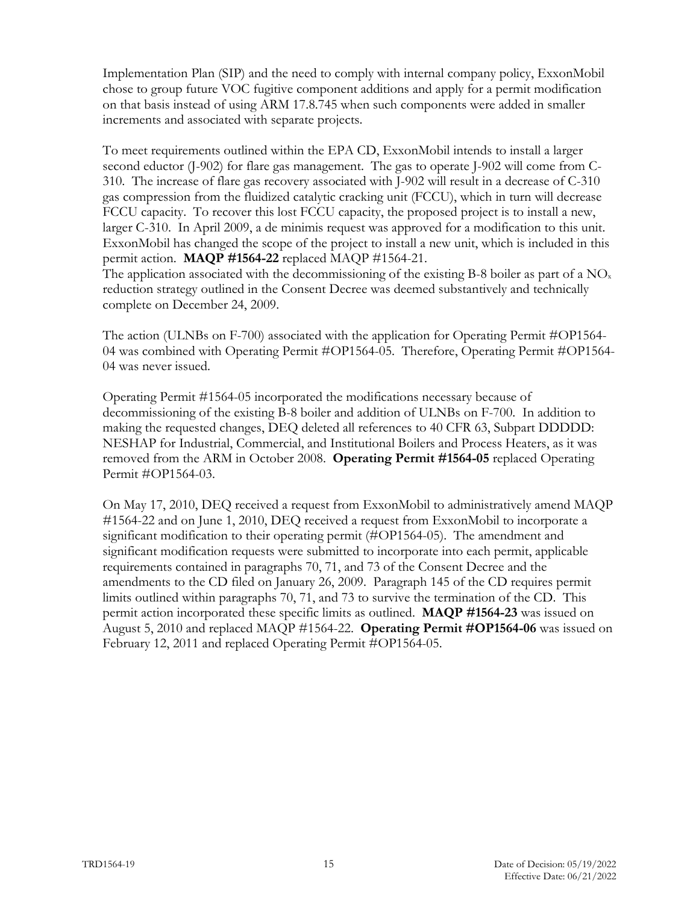Implementation Plan (SIP) and the need to comply with internal company policy, ExxonMobil chose to group future VOC fugitive component additions and apply for a permit modification on that basis instead of using ARM 17.8.745 when such components were added in smaller increments and associated with separate projects.

To meet requirements outlined within the EPA CD, ExxonMobil intends to install a larger second eductor (J-902) for flare gas management. The gas to operate J-902 will come from C-310. The increase of flare gas recovery associated with J-902 will result in a decrease of C-310 gas compression from the fluidized catalytic cracking unit (FCCU), which in turn will decrease FCCU capacity. To recover this lost FCCU capacity, the proposed project is to install a new, larger C-310. In April 2009, a de minimis request was approved for a modification to this unit. ExxonMobil has changed the scope of the project to install a new unit, which is included in this permit action. **MAQP #1564-22** replaced MAQP #1564-21.

The application associated with the decommissioning of the existing B-8 boiler as part of a  $NO<sub>x</sub>$ reduction strategy outlined in the Consent Decree was deemed substantively and technically complete on December 24, 2009.

The action (ULNBs on F-700) associated with the application for Operating Permit #OP1564- 04 was combined with Operating Permit #OP1564-05. Therefore, Operating Permit #OP1564- 04 was never issued.

Operating Permit #1564-05 incorporated the modifications necessary because of decommissioning of the existing B-8 boiler and addition of ULNBs on F-700. In addition to making the requested changes, DEQ deleted all references to 40 CFR 63, Subpart DDDDD: NESHAP for Industrial, Commercial, and Institutional Boilers and Process Heaters, as it was removed from the ARM in October 2008. **Operating Permit #1564-05** replaced Operating Permit #OP1564-03.

On May 17, 2010, DEQ received a request from ExxonMobil to administratively amend MAQP #1564-22 and on June 1, 2010, DEQ received a request from ExxonMobil to incorporate a significant modification to their operating permit (#OP1564-05). The amendment and significant modification requests were submitted to incorporate into each permit, applicable requirements contained in paragraphs 70, 71, and 73 of the Consent Decree and the amendments to the CD filed on January 26, 2009. Paragraph 145 of the CD requires permit limits outlined within paragraphs 70, 71, and 73 to survive the termination of the CD. This permit action incorporated these specific limits as outlined. **MAQP #1564-23** was issued on August 5, 2010 and replaced MAQP #1564-22. **Operating Permit #OP1564-06** was issued on February 12, 2011 and replaced Operating Permit #OP1564-05.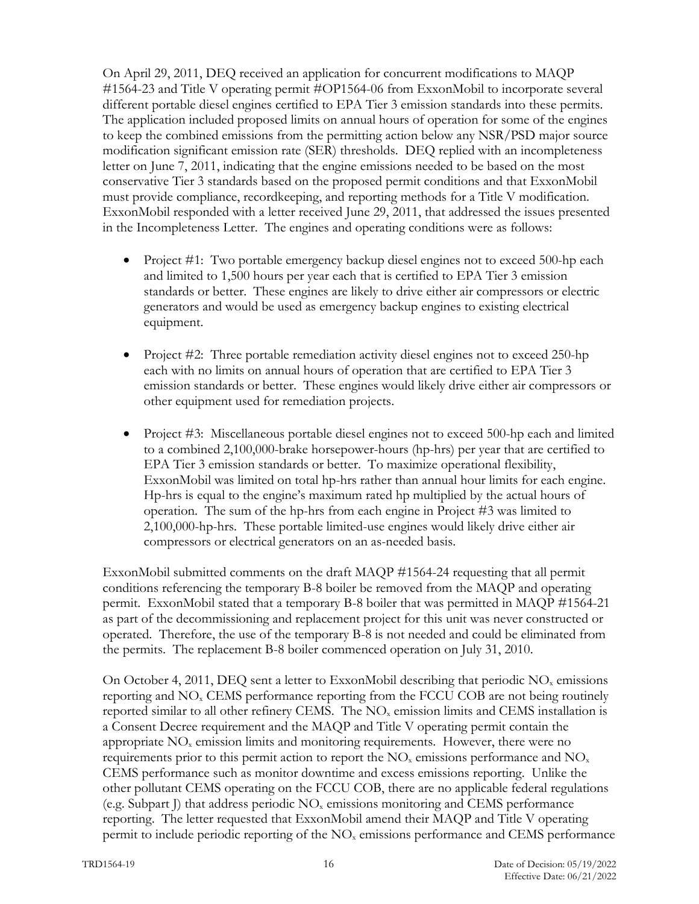On April 29, 2011, DEQ received an application for concurrent modifications to MAQP #1564-23 and Title V operating permit #OP1564-06 from ExxonMobil to incorporate several different portable diesel engines certified to EPA Tier 3 emission standards into these permits. The application included proposed limits on annual hours of operation for some of the engines to keep the combined emissions from the permitting action below any NSR/PSD major source modification significant emission rate (SER) thresholds. DEQ replied with an incompleteness letter on June 7, 2011, indicating that the engine emissions needed to be based on the most conservative Tier 3 standards based on the proposed permit conditions and that ExxonMobil must provide compliance, recordkeeping, and reporting methods for a Title V modification. ExxonMobil responded with a letter received June 29, 2011, that addressed the issues presented in the Incompleteness Letter. The engines and operating conditions were as follows:

- Project #1: Two portable emergency backup diesel engines not to exceed 500-hp each and limited to 1,500 hours per year each that is certified to EPA Tier 3 emission standards or better. These engines are likely to drive either air compressors or electric generators and would be used as emergency backup engines to existing electrical equipment.
- Project #2: Three portable remediation activity diesel engines not to exceed 250-hp each with no limits on annual hours of operation that are certified to EPA Tier 3 emission standards or better. These engines would likely drive either air compressors or other equipment used for remediation projects.
- Project #3: Miscellaneous portable diesel engines not to exceed 500-hp each and limited to a combined 2,100,000-brake horsepower-hours (hp-hrs) per year that are certified to EPA Tier 3 emission standards or better. To maximize operational flexibility, ExxonMobil was limited on total hp-hrs rather than annual hour limits for each engine. Hp-hrs is equal to the engine's maximum rated hp multiplied by the actual hours of operation. The sum of the hp-hrs from each engine in Project #3 was limited to 2,100,000-hp-hrs. These portable limited-use engines would likely drive either air compressors or electrical generators on an as-needed basis.

ExxonMobil submitted comments on the draft MAQP #1564-24 requesting that all permit conditions referencing the temporary B-8 boiler be removed from the MAQP and operating permit. ExxonMobil stated that a temporary B-8 boiler that was permitted in MAQP #1564-21 as part of the decommissioning and replacement project for this unit was never constructed or operated. Therefore, the use of the temporary B-8 is not needed and could be eliminated from the permits. The replacement B-8 boiler commenced operation on July 31, 2010.

On October 4, 2011, DEQ sent a letter to ExxonMobil describing that periodic  $NO<sub>x</sub>$  emissions reporting and NOx CEMS performance reporting from the FCCU COB are not being routinely reported similar to all other refinery CEMS. The  $NO<sub>x</sub>$  emission limits and CEMS installation is a Consent Decree requirement and the MAQP and Title V operating permit contain the appropriate  $NO<sub>x</sub>$  emission limits and monitoring requirements. However, there were no requirements prior to this permit action to report the  $NO<sub>x</sub>$  emissions performance and  $NO<sub>x</sub>$ CEMS performance such as monitor downtime and excess emissions reporting. Unlike the other pollutant CEMS operating on the FCCU COB, there are no applicable federal regulations (e.g. Subpart J) that address periodic NOx emissions monitoring and CEMS performance reporting. The letter requested that ExxonMobil amend their MAQP and Title V operating permit to include periodic reporting of the  $NO<sub>x</sub>$  emissions performance and CEMS performance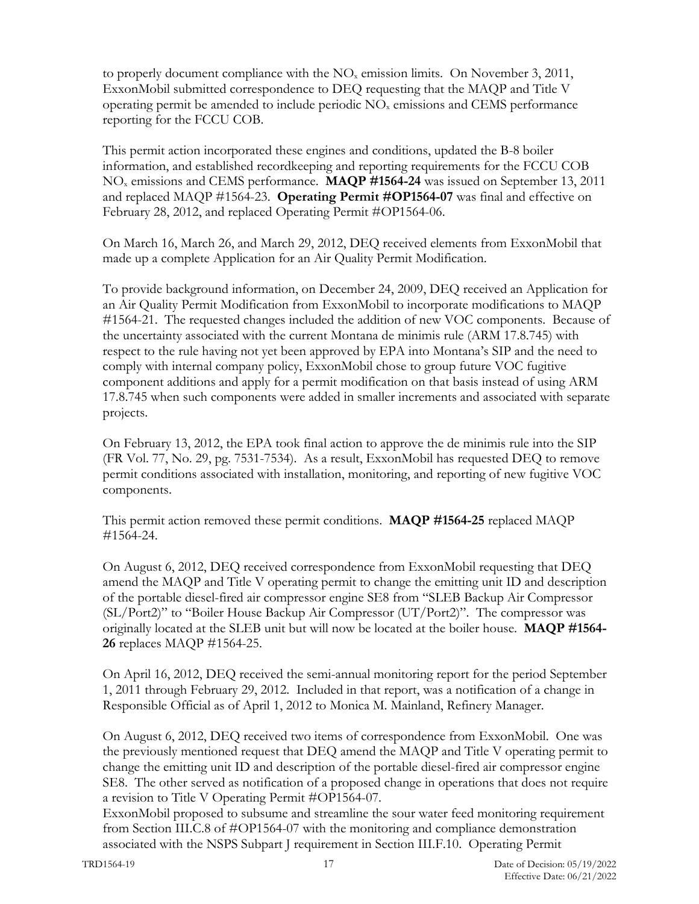to properly document compliance with the  $NO<sub>x</sub>$  emission limits. On November 3, 2011, ExxonMobil submitted correspondence to DEQ requesting that the MAQP and Title V operating permit be amended to include periodic  $NO<sub>x</sub>$  emissions and CEMS performance reporting for the FCCU COB.

This permit action incorporated these engines and conditions, updated the B-8 boiler information, and established recordkeeping and reporting requirements for the FCCU COB NOx emissions and CEMS performance. **MAQP #1564-24** was issued on September 13, 2011 and replaced MAQP #1564-23. **Operating Permit #OP1564-07** was final and effective on February 28, 2012, and replaced Operating Permit #OP1564-06.

On March 16, March 26, and March 29, 2012, DEQ received elements from ExxonMobil that made up a complete Application for an Air Quality Permit Modification.

To provide background information, on December 24, 2009, DEQ received an Application for an Air Quality Permit Modification from ExxonMobil to incorporate modifications to MAQP #1564-21. The requested changes included the addition of new VOC components. Because of the uncertainty associated with the current Montana de minimis rule (ARM 17.8.745) with respect to the rule having not yet been approved by EPA into Montana's SIP and the need to comply with internal company policy, ExxonMobil chose to group future VOC fugitive component additions and apply for a permit modification on that basis instead of using ARM 17.8.745 when such components were added in smaller increments and associated with separate projects.

On February 13, 2012, the EPA took final action to approve the de minimis rule into the SIP (FR Vol. 77, No. 29, pg. 7531-7534). As a result, ExxonMobil has requested DEQ to remove permit conditions associated with installation, monitoring, and reporting of new fugitive VOC components.

This permit action removed these permit conditions. **MAQP #1564-25** replaced MAQP #1564-24.

On August 6, 2012, DEQ received correspondence from ExxonMobil requesting that DEQ amend the MAQP and Title V operating permit to change the emitting unit ID and description of the portable diesel-fired air compressor engine SE8 from "SLEB Backup Air Compressor (SL/Port2)" to "Boiler House Backup Air Compressor (UT/Port2)". The compressor was originally located at the SLEB unit but will now be located at the boiler house. **MAQP #1564- 26** replaces MAQP #1564-25.

On April 16, 2012, DEQ received the semi-annual monitoring report for the period September 1, 2011 through February 29, 2012. Included in that report, was a notification of a change in Responsible Official as of April 1, 2012 to Monica M. Mainland, Refinery Manager.

On August 6, 2012, DEQ received two items of correspondence from ExxonMobil. One was the previously mentioned request that DEQ amend the MAQP and Title V operating permit to change the emitting unit ID and description of the portable diesel-fired air compressor engine SE8. The other served as notification of a proposed change in operations that does not require a revision to Title V Operating Permit #OP1564-07.

ExxonMobil proposed to subsume and streamline the sour water feed monitoring requirement from Section III.C.8 of #OP1564-07 with the monitoring and compliance demonstration associated with the NSPS Subpart J requirement in Section III.F.10. Operating Permit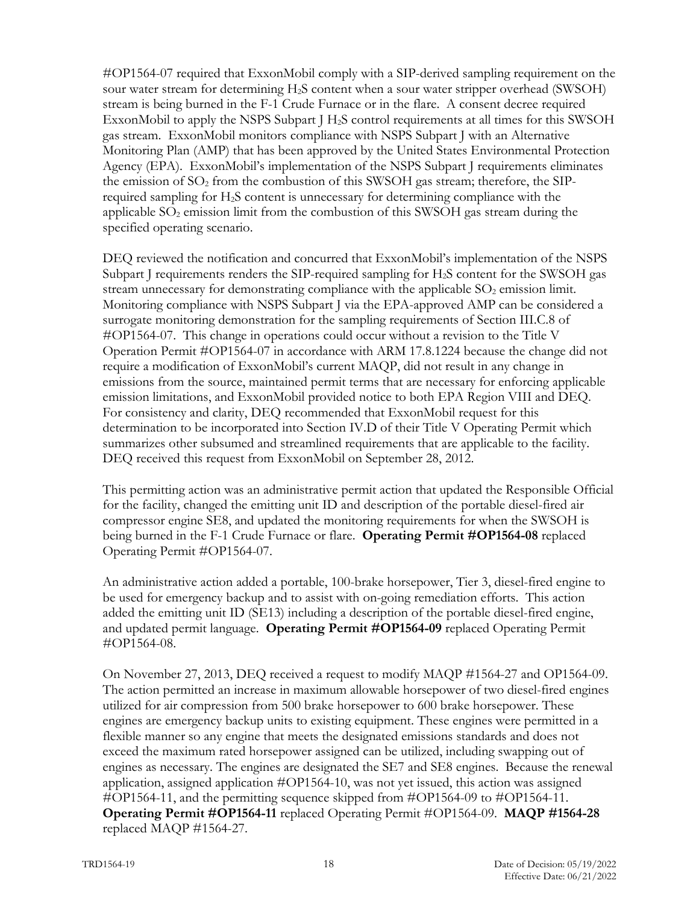#OP1564-07 required that ExxonMobil comply with a SIP-derived sampling requirement on the sour water stream for determining H2S content when a sour water stripper overhead (SWSOH) stream is being burned in the F-1 Crude Furnace or in the flare. A consent decree required ExxonMobil to apply the NSPS Subpart J H2S control requirements at all times for this SWSOH gas stream. ExxonMobil monitors compliance with NSPS Subpart J with an Alternative Monitoring Plan (AMP) that has been approved by the United States Environmental Protection Agency (EPA). ExxonMobil's implementation of the NSPS Subpart J requirements eliminates the emission of  $SO<sub>2</sub>$  from the combustion of this SWSOH gas stream; therefore, the SIPrequired sampling for H2S content is unnecessary for determining compliance with the applicable  $SO<sub>2</sub>$  emission limit from the combustion of this SWSOH gas stream during the specified operating scenario.

DEQ reviewed the notification and concurred that ExxonMobil's implementation of the NSPS Subpart J requirements renders the SIP-required sampling for H2S content for the SWSOH gas stream unnecessary for demonstrating compliance with the applicable  $SO<sub>2</sub>$  emission limit. Monitoring compliance with NSPS Subpart J via the EPA-approved AMP can be considered a surrogate monitoring demonstration for the sampling requirements of Section III.C.8 of #OP1564-07. This change in operations could occur without a revision to the Title V Operation Permit #OP1564-07 in accordance with ARM 17.8.1224 because the change did not require a modification of ExxonMobil's current MAQP, did not result in any change in emissions from the source, maintained permit terms that are necessary for enforcing applicable emission limitations, and ExxonMobil provided notice to both EPA Region VIII and DEQ. For consistency and clarity, DEQ recommended that ExxonMobil request for this determination to be incorporated into Section IV.D of their Title V Operating Permit which summarizes other subsumed and streamlined requirements that are applicable to the facility. DEQ received this request from ExxonMobil on September 28, 2012.

This permitting action was an administrative permit action that updated the Responsible Official for the facility, changed the emitting unit ID and description of the portable diesel-fired air compressor engine SE8, and updated the monitoring requirements for when the SWSOH is being burned in the F-1 Crude Furnace or flare. **Operating Permit #OP1564-08** replaced Operating Permit #OP1564-07.

An administrative action added a portable, 100-brake horsepower, Tier 3, diesel-fired engine to be used for emergency backup and to assist with on-going remediation efforts. This action added the emitting unit ID (SE13) including a description of the portable diesel-fired engine, and updated permit language. **Operating Permit #OP1564-09** replaced Operating Permit #OP1564-08.

On November 27, 2013, DEQ received a request to modify MAQP #1564-27 and OP1564-09. The action permitted an increase in maximum allowable horsepower of two diesel-fired engines utilized for air compression from 500 brake horsepower to 600 brake horsepower. These engines are emergency backup units to existing equipment. These engines were permitted in a flexible manner so any engine that meets the designated emissions standards and does not exceed the maximum rated horsepower assigned can be utilized, including swapping out of engines as necessary. The engines are designated the SE7 and SE8 engines. Because the renewal application, assigned application #OP1564-10, was not yet issued, this action was assigned #OP1564-11, and the permitting sequence skipped from #OP1564-09 to #OP1564-11. **Operating Permit #OP1564-11** replaced Operating Permit #OP1564-09. **MAQP #1564-28** replaced MAQP #1564-27.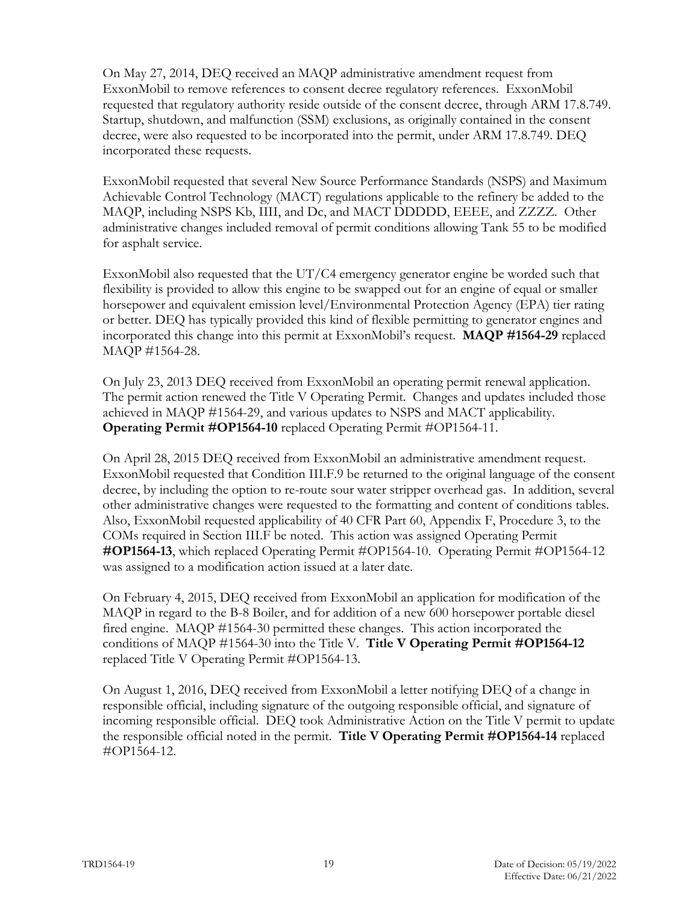On May 27, 2014, DEQ received an MAQP administrative amendment request from ExxonMobil to remove references to consent decree regulatory references. ExxonMobil requested that regulatory authority reside outside of the consent decree, through ARM 17.8.749. Startup, shutdown, and malfunction (SSM) exclusions, as originally contained in the consent decree, were also requested to be incorporated into the permit, under ARM 17.8.749. DEQ incorporated these requests.

ExxonMobil requested that several New Source Performance Standards (NSPS) and Maximum Achievable Control Technology (MACT) regulations applicable to the refinery be added to the MAQP, including NSPS Kb, IIII, and Dc, and MACT DDDDD, EEEE, and ZZZZ. Other administrative changes included removal of permit conditions allowing Tank 55 to be modified for asphalt service.

ExxonMobil also requested that the UT/C4 emergency generator engine be worded such that flexibility is provided to allow this engine to be swapped out for an engine of equal or smaller horsepower and equivalent emission level/Environmental Protection Agency (EPA) tier rating or better. DEQ has typically provided this kind of flexible permitting to generator engines and incorporated this change into this permit at ExxonMobil's request. **MAQP #1564-29** replaced MAQP #1564-28.

On July 23, 2013 DEQ received from ExxonMobil an operating permit renewal application. The permit action renewed the Title V Operating Permit. Changes and updates included those achieved in MAQP #1564-29, and various updates to NSPS and MACT applicability. **Operating Permit #OP1564-10** replaced Operating Permit #OP1564-11.

On April 28, 2015 DEQ received from ExxonMobil an administrative amendment request. ExxonMobil requested that Condition III.F.9 be returned to the original language of the consent decree, by including the option to re-route sour water stripper overhead gas. In addition, several other administrative changes were requested to the formatting and content of conditions tables. Also, ExxonMobil requested applicability of 40 CFR Part 60, Appendix F, Procedure 3, to the COMs required in Section III.F be noted. This action was assigned Operating Permit **#OP1564-13**, which replaced Operating Permit #OP1564-10. Operating Permit #OP1564-12 was assigned to a modification action issued at a later date.

On February 4, 2015, DEQ received from ExxonMobil an application for modification of the MAQP in regard to the B-8 Boiler, and for addition of a new 600 horsepower portable diesel fired engine. MAQP #1564-30 permitted these changes. This action incorporated the conditions of MAQP #1564-30 into the Title V. **Title V Operating Permit #OP1564-12** replaced Title V Operating Permit #OP1564-13.

On August 1, 2016, DEQ received from ExxonMobil a letter notifying DEQ of a change in responsible official, including signature of the outgoing responsible official, and signature of incoming responsible official. DEQ took Administrative Action on the Title V permit to update the responsible official noted in the permit. **Title V Operating Permit #OP1564-14** replaced #OP1564-12.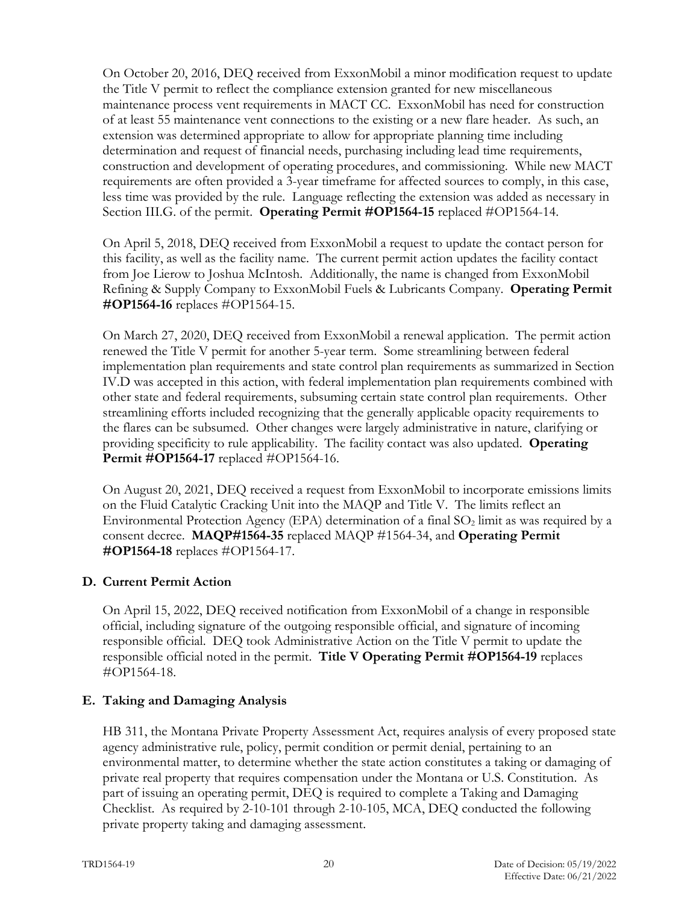On October 20, 2016, DEQ received from ExxonMobil a minor modification request to update the Title V permit to reflect the compliance extension granted for new miscellaneous maintenance process vent requirements in MACT CC. ExxonMobil has need for construction of at least 55 maintenance vent connections to the existing or a new flare header. As such, an extension was determined appropriate to allow for appropriate planning time including determination and request of financial needs, purchasing including lead time requirements, construction and development of operating procedures, and commissioning. While new MACT requirements are often provided a 3-year timeframe for affected sources to comply, in this case, less time was provided by the rule. Language reflecting the extension was added as necessary in Section III.G. of the permit. Operating Permit #OP1564-15 replaced #OP1564-14.

On April 5, 2018, DEQ received from ExxonMobil a request to update the contact person for this facility, as well as the facility name. The current permit action updates the facility contact from Joe Lierow to Joshua McIntosh. Additionally, the name is changed from ExxonMobil Refining & Supply Company to ExxonMobil Fuels & Lubricants Company. **Operating Permit #OP1564-16** replaces #OP1564-15.

On March 27, 2020, DEQ received from ExxonMobil a renewal application. The permit action renewed the Title V permit for another 5-year term. Some streamlining between federal implementation plan requirements and state control plan requirements as summarized in Section IV.D was accepted in this action, with federal implementation plan requirements combined with other state and federal requirements, subsuming certain state control plan requirements. Other streamlining efforts included recognizing that the generally applicable opacity requirements to the flares can be subsumed. Other changes were largely administrative in nature, clarifying or providing specificity to rule applicability. The facility contact was also updated. **Operating Permit #OP1564-17** replaced #OP1564-16.

On August 20, 2021, DEQ received a request from ExxonMobil to incorporate emissions limits on the Fluid Catalytic Cracking Unit into the MAQP and Title V. The limits reflect an Environmental Protection Agency (EPA) determination of a final SO<sub>2</sub> limit as was required by a consent decree. **MAQP#1564-35** replaced MAQP #1564-34, and **Operating Permit #OP1564-18** replaces #OP1564-17.

# **D. Current Permit Action**

On April 15, 2022, DEQ received notification from ExxonMobil of a change in responsible official, including signature of the outgoing responsible official, and signature of incoming responsible official. DEQ took Administrative Action on the Title V permit to update the responsible official noted in the permit. **Title V Operating Permit #OP1564-19** replaces #OP1564-18.

# **E. Taking and Damaging Analysis**

HB 311, the Montana Private Property Assessment Act, requires analysis of every proposed state agency administrative rule, policy, permit condition or permit denial, pertaining to an environmental matter, to determine whether the state action constitutes a taking or damaging of private real property that requires compensation under the Montana or U.S. Constitution. As part of issuing an operating permit, DEQ is required to complete a Taking and Damaging Checklist. As required by 2-10-101 through 2-10-105, MCA, DEQ conducted the following private property taking and damaging assessment.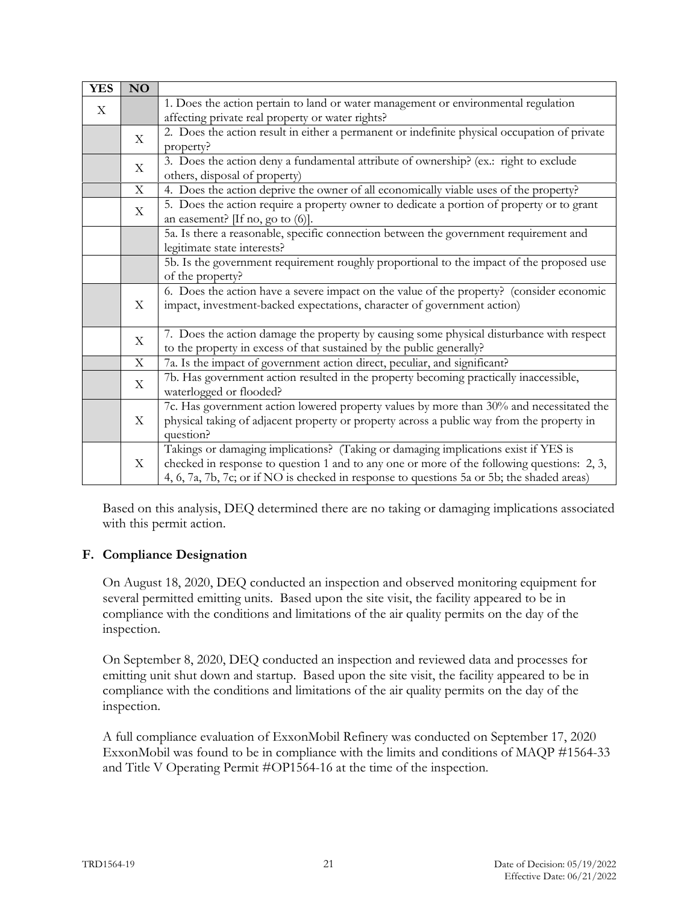| <b>YES</b>  | NO                        |                                                                                              |
|-------------|---------------------------|----------------------------------------------------------------------------------------------|
| $\mathbf X$ |                           | 1. Does the action pertain to land or water management or environmental regulation           |
|             |                           | affecting private real property or water rights?                                             |
|             | X                         | 2. Does the action result in either a permanent or indefinite physical occupation of private |
|             |                           | property?                                                                                    |
|             | $\boldsymbol{\mathrm{X}}$ | 3. Does the action deny a fundamental attribute of ownership? (ex.: right to exclude         |
|             |                           | others, disposal of property)                                                                |
|             | $\mathbf X$               | 4. Does the action deprive the owner of all economically viable uses of the property?        |
|             | X                         | 5. Does the action require a property owner to dedicate a portion of property or to grant    |
|             |                           | an easement? $[If no, go to (6)].$                                                           |
|             |                           | 5a. Is there a reasonable, specific connection between the government requirement and        |
|             |                           | legitimate state interests?                                                                  |
|             |                           | 5b. Is the government requirement roughly proportional to the impact of the proposed use     |
|             |                           | of the property?                                                                             |
|             | X                         | 6. Does the action have a severe impact on the value of the property? (consider economic     |
|             |                           | impact, investment-backed expectations, character of government action)                      |
|             |                           |                                                                                              |
|             | $\mathbf X$               | 7. Does the action damage the property by causing some physical disturbance with respect     |
|             |                           | to the property in excess of that sustained by the public generally?                         |
|             | $\mathbf X$               | 7a. Is the impact of government action direct, peculiar, and significant?                    |
|             | $\boldsymbol{\mathrm{X}}$ | 7b. Has government action resulted in the property becoming practically inaccessible,        |
|             |                           | waterlogged or flooded?                                                                      |
|             |                           | 7c. Has government action lowered property values by more than 30% and necessitated the      |
|             | $\mathbf X$               | physical taking of adjacent property or property across a public way from the property in    |
|             |                           | question?                                                                                    |
|             |                           | Takings or damaging implications? (Taking or damaging implications exist if YES is           |
|             | X                         | checked in response to question 1 and to any one or more of the following questions: 2, 3,   |
|             |                           | 4, 6, 7a, 7b, 7c; or if NO is checked in response to questions 5a or 5b; the shaded areas)   |

Based on this analysis, DEQ determined there are no taking or damaging implications associated with this permit action.

# **F. Compliance Designation**

On August 18, 2020, DEQ conducted an inspection and observed monitoring equipment for several permitted emitting units. Based upon the site visit, the facility appeared to be in compliance with the conditions and limitations of the air quality permits on the day of the inspection.

On September 8, 2020, DEQ conducted an inspection and reviewed data and processes for emitting unit shut down and startup. Based upon the site visit, the facility appeared to be in compliance with the conditions and limitations of the air quality permits on the day of the inspection.

A full compliance evaluation of ExxonMobil Refinery was conducted on September 17, 2020 ExxonMobil was found to be in compliance with the limits and conditions of MAQP #1564-33 and Title V Operating Permit #OP1564-16 at the time of the inspection.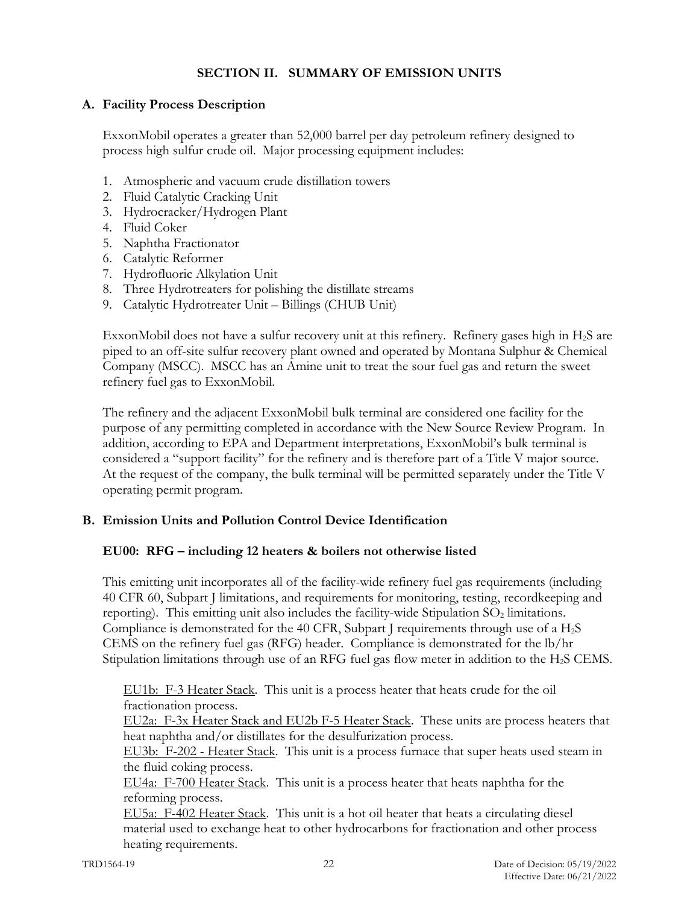# **SECTION II. SUMMARY OF EMISSION UNITS**

# **A. Facility Process Description**

ExxonMobil operates a greater than 52,000 barrel per day petroleum refinery designed to process high sulfur crude oil. Major processing equipment includes:

- 1. Atmospheric and vacuum crude distillation towers
- 2. Fluid Catalytic Cracking Unit
- 3. Hydrocracker/Hydrogen Plant
- 4. Fluid Coker
- 5. Naphtha Fractionator
- 6. Catalytic Reformer
- 7. Hydrofluoric Alkylation Unit
- 8. Three Hydrotreaters for polishing the distillate streams
- 9. Catalytic Hydrotreater Unit Billings (CHUB Unit)

ExxonMobil does not have a sulfur recovery unit at this refinery. Refinery gases high in  $H_2S$  are piped to an off-site sulfur recovery plant owned and operated by Montana Sulphur & Chemical Company (MSCC). MSCC has an Amine unit to treat the sour fuel gas and return the sweet refinery fuel gas to ExxonMobil.

The refinery and the adjacent ExxonMobil bulk terminal are considered one facility for the purpose of any permitting completed in accordance with the New Source Review Program. In addition, according to EPA and Department interpretations, ExxonMobil's bulk terminal is considered a "support facility" for the refinery and is therefore part of a Title V major source. At the request of the company, the bulk terminal will be permitted separately under the Title V operating permit program.

### **B. Emission Units and Pollution Control Device Identification**

### **EU00: RFG – including 12 heaters & boilers not otherwise listed**

This emitting unit incorporates all of the facility-wide refinery fuel gas requirements (including 40 CFR 60, Subpart J limitations, and requirements for monitoring, testing, recordkeeping and reporting). This emitting unit also includes the facility-wide Stipulation  $SO<sub>2</sub>$  limitations. Compliance is demonstrated for the 40 CFR, Subpart J requirements through use of a H2S CEMS on the refinery fuel gas (RFG) header. Compliance is demonstrated for the lb/hr Stipulation limitations through use of an RFG fuel gas flow meter in addition to the H2S CEMS.

EU1b: F-3 Heater Stack. This unit is a process heater that heats crude for the oil fractionation process.

EU2a: F-3x Heater Stack and EU2b F-5 Heater Stack. These units are process heaters that heat naphtha and/or distillates for the desulfurization process.

EU3b: F-202 - Heater Stack. This unit is a process furnace that super heats used steam in the fluid coking process.

EU4a: F-700 Heater Stack. This unit is a process heater that heats naphtha for the reforming process.

EU5a: F-402 Heater Stack. This unit is a hot oil heater that heats a circulating diesel material used to exchange heat to other hydrocarbons for fractionation and other process heating requirements.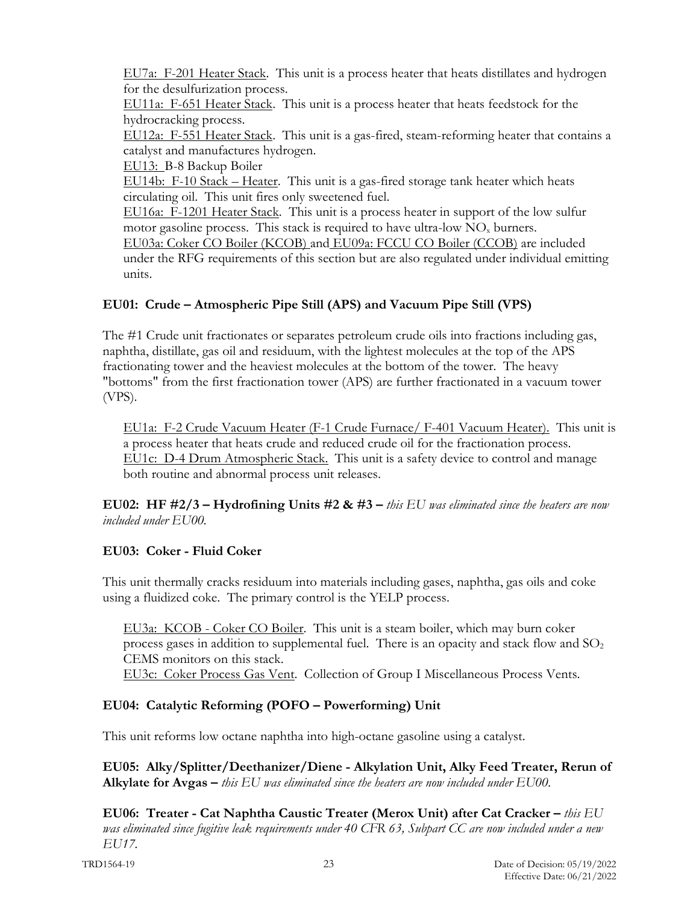EU7a: F-201 Heater Stack. This unit is a process heater that heats distillates and hydrogen for the desulfurization process.

EU11a: F-651 Heater Stack. This unit is a process heater that heats feedstock for the hydrocracking process.

EU12a: F-551 Heater Stack. This unit is a gas-fired, steam-reforming heater that contains a catalyst and manufactures hydrogen.

EU13: B-8 Backup Boiler

EU14b: F-10 Stack – Heater. This unit is a gas-fired storage tank heater which heats circulating oil. This unit fires only sweetened fuel.

EU16a: F-1201 Heater Stack. This unit is a process heater in support of the low sulfur motor gasoline process. This stack is required to have ultra-low  $NO<sub>x</sub>$  burners. EU03a: Coker CO Boiler (KCOB) and EU09a: FCCU CO Boiler (CCOB) are included

under the RFG requirements of this section but are also regulated under individual emitting units.

# **EU01: Crude – Atmospheric Pipe Still (APS) and Vacuum Pipe Still (VPS)**

The #1 Crude unit fractionates or separates petroleum crude oils into fractions including gas, naphtha, distillate, gas oil and residuum, with the lightest molecules at the top of the APS fractionating tower and the heaviest molecules at the bottom of the tower. The heavy "bottoms" from the first fractionation tower (APS) are further fractionated in a vacuum tower (VPS).

EU1a: F-2 Crude Vacuum Heater (F-1 Crude Furnace/ F-401 Vacuum Heater). This unit is a process heater that heats crude and reduced crude oil for the fractionation process. EU1c: D-4 Drum Atmospheric Stack. This unit is a safety device to control and manage both routine and abnormal process unit releases.

**EU02: HF #2/3 – Hydrofining Units #2 & #3 –** *this EU was eliminated since the heaters are now included under EU00.*

# **EU03: Coker - Fluid Coker**

This unit thermally cracks residuum into materials including gases, naphtha, gas oils and coke using a fluidized coke. The primary control is the YELP process.

EU3a: KCOB - Coker CO Boiler. This unit is a steam boiler, which may burn coker process gases in addition to supplemental fuel. There is an opacity and stack flow and  $SO<sub>2</sub>$ CEMS monitors on this stack.

EU3c: Coker Process Gas Vent. Collection of Group I Miscellaneous Process Vents.

# **EU04: Catalytic Reforming (POFO – Powerforming) Unit**

This unit reforms low octane naphtha into high-octane gasoline using a catalyst.

**EU05: Alky/Splitter/Deethanizer/Diene - Alkylation Unit, Alky Feed Treater, Rerun of Alkylate for Avgas –** *this EU was eliminated since the heaters are now included under EU00.*

**EU06: Treater - Cat Naphtha Caustic Treater (Merox Unit) after Cat Cracker –** *this EU was eliminated since fugitive leak requirements under 40 CFR 63, Subpart CC are now included under a new EU17.*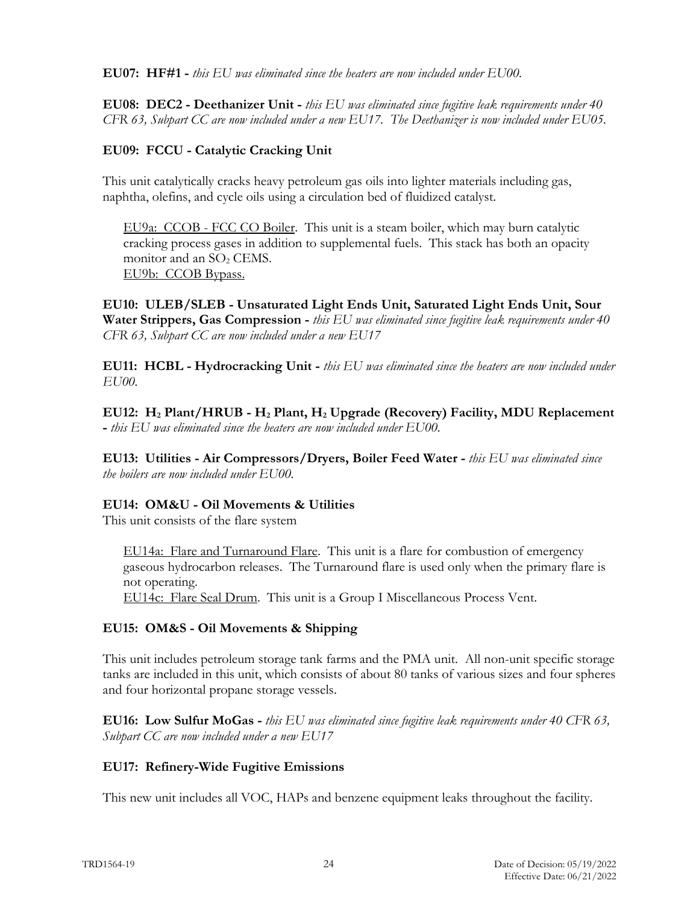**EU07: HF#1 -** *this EU was eliminated since the heaters are now included under EU00.*

**EU08: DEC2 - Deethanizer Unit -** *this EU was eliminated since fugitive leak requirements under 40 CFR 63, Subpart CC are now included under a new EU17. The Deethanizer is now included under EU05.*

# **EU09: FCCU - Catalytic Cracking Unit**

This unit catalytically cracks heavy petroleum gas oils into lighter materials including gas, naphtha, olefins, and cycle oils using a circulation bed of fluidized catalyst.

EU9a: CCOB - FCC CO Boiler. This unit is a steam boiler, which may burn catalytic cracking process gases in addition to supplemental fuels. This stack has both an opacity monitor and an  $SO<sub>2</sub>$  CEMS. EU9b: CCOB Bypass.

**EU10: ULEB/SLEB - Unsaturated Light Ends Unit, Saturated Light Ends Unit, Sour Water Strippers, Gas Compression -** *this EU was eliminated since fugitive leak requirements under 40 CFR 63, Subpart CC are now included under a new EU17*

**EU11: HCBL - Hydrocracking Unit -** *this EU was eliminated since the heaters are now included under EU00.*

**EU12: H2 Plant/HRUB - H2 Plant, H2 Upgrade (Recovery) Facility, MDU Replacement -** *this EU was eliminated since the heaters are now included under EU00.*

**EU13: Utilities - Air Compressors/Dryers, Boiler Feed Water -** *this EU was eliminated since the boilers are now included under EU00.*

### **EU14: OM&U - Oil Movements & Utilities**

This unit consists of the flare system

EU14a: Flare and Turnaround Flare. This unit is a flare for combustion of emergency gaseous hydrocarbon releases. The Turnaround flare is used only when the primary flare is not operating.

EU14c: Flare Seal Drum. This unit is a Group I Miscellaneous Process Vent.

### **EU15: OM&S - Oil Movements & Shipping**

This unit includes petroleum storage tank farms and the PMA unit. All non-unit specific storage tanks are included in this unit, which consists of about 80 tanks of various sizes and four spheres and four horizontal propane storage vessels.

**EU16: Low Sulfur MoGas -** *this EU was eliminated since fugitive leak requirements under 40 CFR 63, Subpart CC are now included under a new EU17*

### **EU17: Refinery-Wide Fugitive Emissions**

This new unit includes all VOC, HAPs and benzene equipment leaks throughout the facility.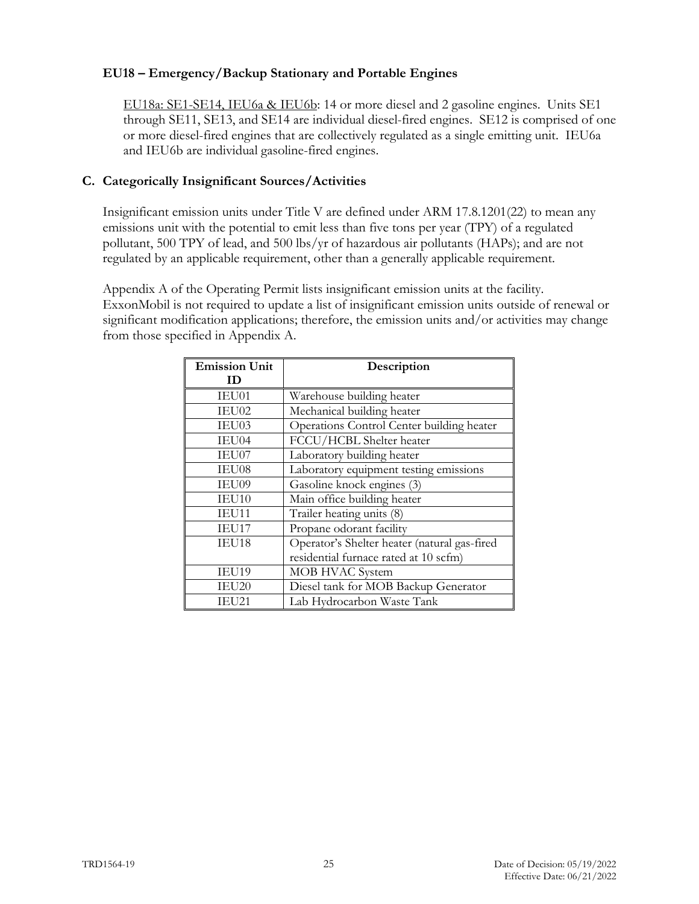## **EU18 – Emergency/Backup Stationary and Portable Engines**

EU18a: SE1-SE14, IEU6a & IEU6b: 14 or more diesel and 2 gasoline engines. Units SE1 through SE11, SE13, and SE14 are individual diesel-fired engines. SE12 is comprised of one or more diesel-fired engines that are collectively regulated as a single emitting unit. IEU6a and IEU6b are individual gasoline-fired engines.

## **C. Categorically Insignificant Sources/Activities**

Insignificant emission units under Title V are defined under ARM 17.8.1201(22) to mean any emissions unit with the potential to emit less than five tons per year (TPY) of a regulated pollutant, 500 TPY of lead, and 500 lbs/yr of hazardous air pollutants (HAPs); and are not regulated by an applicable requirement, other than a generally applicable requirement.

Appendix A of the Operating Permit lists insignificant emission units at the facility. ExxonMobil is not required to update a list of insignificant emission units outside of renewal or significant modification applications; therefore, the emission units and/or activities may change from those specified in Appendix A.

| <b>Emission Unit</b> | Description                                  |
|----------------------|----------------------------------------------|
| ID                   |                                              |
| IEU01                | Warehouse building heater                    |
| IEU02                | Mechanical building heater                   |
| IEU03                | Operations Control Center building heater    |
| IEU04                | FCCU/HCBL Shelter heater                     |
| IEU07                | Laboratory building heater                   |
| IEU08                | Laboratory equipment testing emissions       |
| IEU09                | Gasoline knock engines (3)                   |
| IEU10                | Main office building heater                  |
| IEU11                | Trailer heating units (8)                    |
| IEU17                | Propane odorant facility                     |
| IEU18                | Operator's Shelter heater (natural gas-fired |
|                      | residential furnace rated at 10 scfm)        |
| IEU19                | MOB HVAC System                              |
| IEU20                | Diesel tank for MOB Backup Generator         |
| IEU21                | Lab Hydrocarbon Waste Tank                   |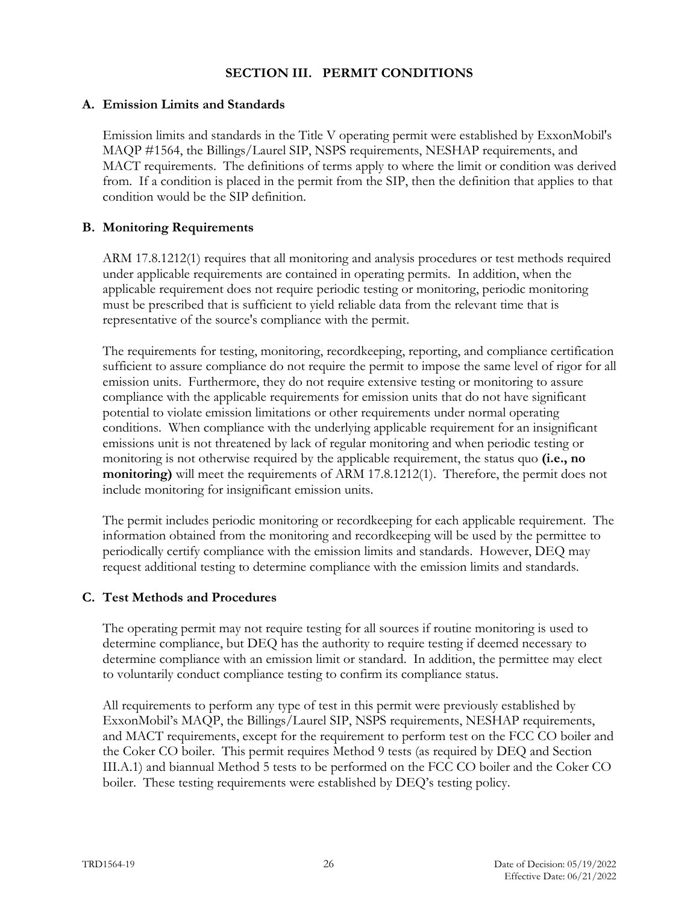## **SECTION III. PERMIT CONDITIONS**

### **A. Emission Limits and Standards**

Emission limits and standards in the Title V operating permit were established by ExxonMobil's MAQP #1564, the Billings/Laurel SIP, NSPS requirements, NESHAP requirements, and MACT requirements. The definitions of terms apply to where the limit or condition was derived from. If a condition is placed in the permit from the SIP, then the definition that applies to that condition would be the SIP definition.

## **B. Monitoring Requirements**

ARM 17.8.1212(1) requires that all monitoring and analysis procedures or test methods required under applicable requirements are contained in operating permits. In addition, when the applicable requirement does not require periodic testing or monitoring, periodic monitoring must be prescribed that is sufficient to yield reliable data from the relevant time that is representative of the source's compliance with the permit.

The requirements for testing, monitoring, recordkeeping, reporting, and compliance certification sufficient to assure compliance do not require the permit to impose the same level of rigor for all emission units. Furthermore, they do not require extensive testing or monitoring to assure compliance with the applicable requirements for emission units that do not have significant potential to violate emission limitations or other requirements under normal operating conditions. When compliance with the underlying applicable requirement for an insignificant emissions unit is not threatened by lack of regular monitoring and when periodic testing or monitoring is not otherwise required by the applicable requirement, the status quo **(i.e., no monitoring)** will meet the requirements of ARM 17.8.1212(1). Therefore, the permit does not include monitoring for insignificant emission units.

The permit includes periodic monitoring or recordkeeping for each applicable requirement. The information obtained from the monitoring and recordkeeping will be used by the permittee to periodically certify compliance with the emission limits and standards. However, DEQ may request additional testing to determine compliance with the emission limits and standards.

# **C. Test Methods and Procedures**

The operating permit may not require testing for all sources if routine monitoring is used to determine compliance, but DEQ has the authority to require testing if deemed necessary to determine compliance with an emission limit or standard. In addition, the permittee may elect to voluntarily conduct compliance testing to confirm its compliance status.

All requirements to perform any type of test in this permit were previously established by ExxonMobil's MAQP, the Billings/Laurel SIP, NSPS requirements, NESHAP requirements, and MACT requirements, except for the requirement to perform test on the FCC CO boiler and the Coker CO boiler. This permit requires Method 9 tests (as required by DEQ and Section III.A.1) and biannual Method 5 tests to be performed on the FCC CO boiler and the Coker CO boiler. These testing requirements were established by DEQ's testing policy.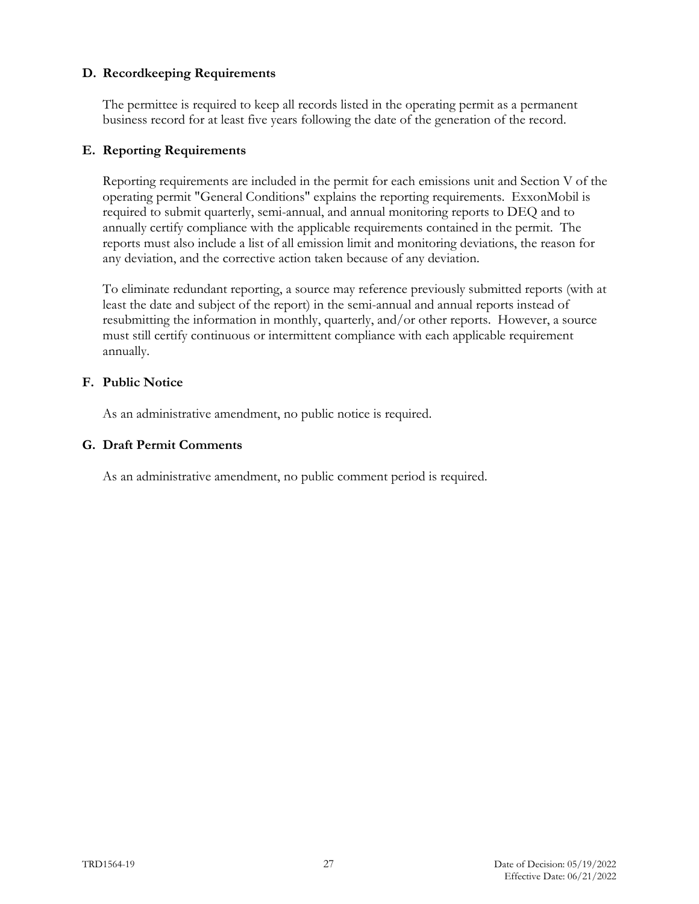### **D. Recordkeeping Requirements**

The permittee is required to keep all records listed in the operating permit as a permanent business record for at least five years following the date of the generation of the record.

### **E. Reporting Requirements**

Reporting requirements are included in the permit for each emissions unit and Section V of the operating permit "General Conditions" explains the reporting requirements. ExxonMobil is required to submit quarterly, semi-annual, and annual monitoring reports to DEQ and to annually certify compliance with the applicable requirements contained in the permit. The reports must also include a list of all emission limit and monitoring deviations, the reason for any deviation, and the corrective action taken because of any deviation.

To eliminate redundant reporting, a source may reference previously submitted reports (with at least the date and subject of the report) in the semi-annual and annual reports instead of resubmitting the information in monthly, quarterly, and/or other reports. However, a source must still certify continuous or intermittent compliance with each applicable requirement annually.

#### **F. Public Notice**

As an administrative amendment, no public notice is required.

### **G. Draft Permit Comments**

As an administrative amendment, no public comment period is required.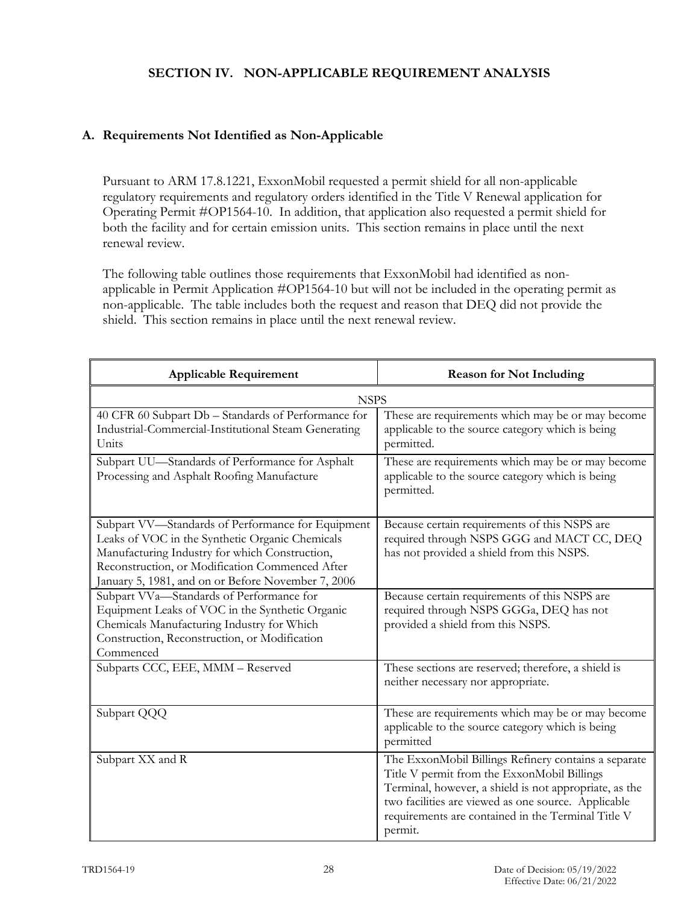# **SECTION IV. NON-APPLICABLE REQUIREMENT ANALYSIS**

# **A. Requirements Not Identified as Non-Applicable**

Pursuant to ARM 17.8.1221, ExxonMobil requested a permit shield for all non-applicable regulatory requirements and regulatory orders identified in the Title V Renewal application for Operating Permit #OP1564-10. In addition, that application also requested a permit shield for both the facility and for certain emission units. This section remains in place until the next renewal review.

The following table outlines those requirements that ExxonMobil had identified as nonapplicable in Permit Application #OP1564-10 but will not be included in the operating permit as non-applicable. The table includes both the request and reason that DEQ did not provide the shield. This section remains in place until the next renewal review.

| <b>Applicable Requirement</b>                                                                                                                                                                                                                                   | <b>Reason for Not Including</b>                                                                                                                                                                                                                                                       |  |  |
|-----------------------------------------------------------------------------------------------------------------------------------------------------------------------------------------------------------------------------------------------------------------|---------------------------------------------------------------------------------------------------------------------------------------------------------------------------------------------------------------------------------------------------------------------------------------|--|--|
| <b>NSPS</b>                                                                                                                                                                                                                                                     |                                                                                                                                                                                                                                                                                       |  |  |
| 40 CFR 60 Subpart Db - Standards of Performance for<br>Industrial-Commercial-Institutional Steam Generating<br>Units                                                                                                                                            | These are requirements which may be or may become<br>applicable to the source category which is being<br>permitted.                                                                                                                                                                   |  |  |
| Subpart UU-Standards of Performance for Asphalt<br>Processing and Asphalt Roofing Manufacture                                                                                                                                                                   | These are requirements which may be or may become<br>applicable to the source category which is being<br>permitted.                                                                                                                                                                   |  |  |
| Subpart VV-Standards of Performance for Equipment<br>Leaks of VOC in the Synthetic Organic Chemicals<br>Manufacturing Industry for which Construction,<br>Reconstruction, or Modification Commenced After<br>January 5, 1981, and on or Before November 7, 2006 | Because certain requirements of this NSPS are<br>required through NSPS GGG and MACT CC, DEQ<br>has not provided a shield from this NSPS.                                                                                                                                              |  |  |
| Subpart VVa-Standards of Performance for<br>Equipment Leaks of VOC in the Synthetic Organic<br>Chemicals Manufacturing Industry for Which<br>Construction, Reconstruction, or Modification<br>Commenced                                                         | Because certain requirements of this NSPS are<br>required through NSPS GGGa, DEQ has not<br>provided a shield from this NSPS.                                                                                                                                                         |  |  |
| Subparts CCC, EEE, MMM - Reserved                                                                                                                                                                                                                               | These sections are reserved; therefore, a shield is<br>neither necessary nor appropriate.                                                                                                                                                                                             |  |  |
| Subpart QQQ                                                                                                                                                                                                                                                     | These are requirements which may be or may become<br>applicable to the source category which is being<br>permitted                                                                                                                                                                    |  |  |
| Subpart XX and R                                                                                                                                                                                                                                                | The ExxonMobil Billings Refinery contains a separate<br>Title V permit from the ExxonMobil Billings<br>Terminal, however, a shield is not appropriate, as the<br>two facilities are viewed as one source. Applicable<br>requirements are contained in the Terminal Title V<br>permit. |  |  |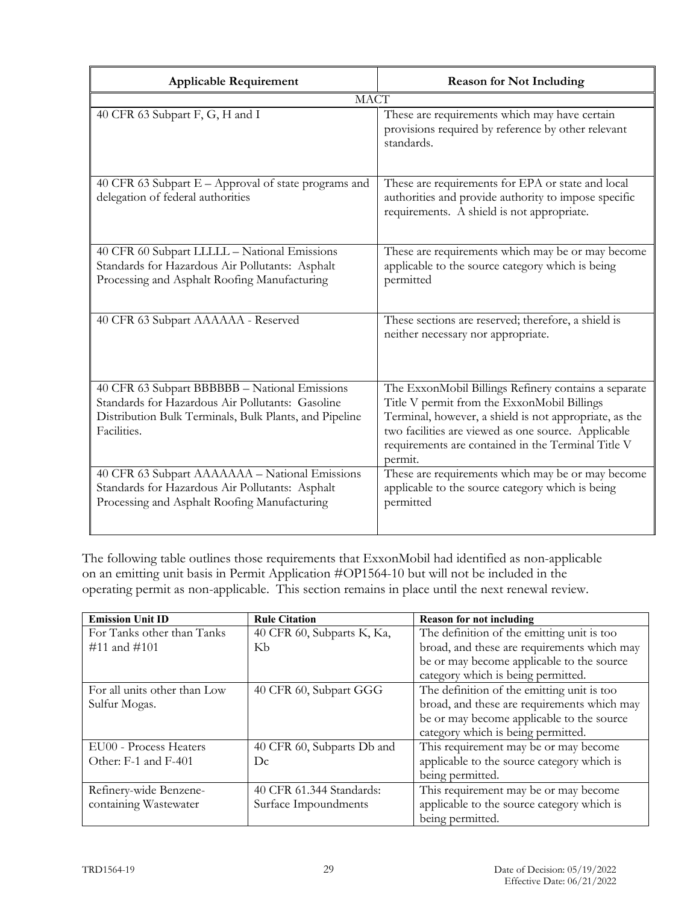| <b>Applicable Requirement</b>                                                                                                                                              | <b>Reason for Not Including</b>                                                                                                                                                                                                                                                       |
|----------------------------------------------------------------------------------------------------------------------------------------------------------------------------|---------------------------------------------------------------------------------------------------------------------------------------------------------------------------------------------------------------------------------------------------------------------------------------|
| <b>MACT</b>                                                                                                                                                                |                                                                                                                                                                                                                                                                                       |
| 40 CFR 63 Subpart F, G, H and I                                                                                                                                            | These are requirements which may have certain<br>provisions required by reference by other relevant<br>standards.                                                                                                                                                                     |
| 40 CFR 63 Subpart E - Approval of state programs and<br>delegation of federal authorities                                                                                  | These are requirements for EPA or state and local<br>authorities and provide authority to impose specific<br>requirements. A shield is not appropriate.                                                                                                                               |
| 40 CFR 60 Subpart LLLLL - National Emissions<br>Standards for Hazardous Air Pollutants: Asphalt<br>Processing and Asphalt Roofing Manufacturing                            | These are requirements which may be or may become<br>applicable to the source category which is being<br>permitted                                                                                                                                                                    |
| 40 CFR 63 Subpart AAAAAA - Reserved                                                                                                                                        | These sections are reserved; therefore, a shield is<br>neither necessary nor appropriate.                                                                                                                                                                                             |
| 40 CFR 63 Subpart BBBBBB - National Emissions<br>Standards for Hazardous Air Pollutants: Gasoline<br>Distribution Bulk Terminals, Bulk Plants, and Pipeline<br>Facilities. | The ExxonMobil Billings Refinery contains a separate<br>Title V permit from the ExxonMobil Billings<br>Terminal, however, a shield is not appropriate, as the<br>two facilities are viewed as one source. Applicable<br>requirements are contained in the Terminal Title V<br>permit. |
| 40 CFR 63 Subpart AAAAAAA - National Emissions<br>Standards for Hazardous Air Pollutants: Asphalt<br>Processing and Asphalt Roofing Manufacturing                          | These are requirements which may be or may become<br>applicable to the source category which is being<br>permitted                                                                                                                                                                    |

The following table outlines those requirements that ExxonMobil had identified as non-applicable on an emitting unit basis in Permit Application #OP1564-10 but will not be included in the operating permit as non-applicable. This section remains in place until the next renewal review.

| <b>Emission Unit ID</b>      | <b>Rule Citation</b>       | <b>Reason for not including</b>             |
|------------------------------|----------------------------|---------------------------------------------|
| For Tanks other than Tanks   | 40 CFR 60, Subparts K, Ka, | The definition of the emitting unit is too  |
| $\#11$ and $\#101$           | Kb                         | broad, and these are requirements which may |
|                              |                            | be or may become applicable to the source   |
|                              |                            | category which is being permitted.          |
| For all units other than Low | 40 CFR 60, Subpart GGG     | The definition of the emitting unit is too  |
| Sulfur Mogas.                |                            | broad, and these are requirements which may |
|                              |                            | be or may become applicable to the source   |
|                              |                            | category which is being permitted.          |
| EU00 - Process Heaters       | 40 CFR 60, Subparts Db and | This requirement may be or may become       |
| Other: F-1 and F-401         | Dc                         | applicable to the source category which is  |
|                              |                            | being permitted.                            |
| Refinery-wide Benzene-       | 40 CFR 61.344 Standards:   | This requirement may be or may become       |
| containing Wastewater        | Surface Impoundments       | applicable to the source category which is  |
|                              |                            | being permitted.                            |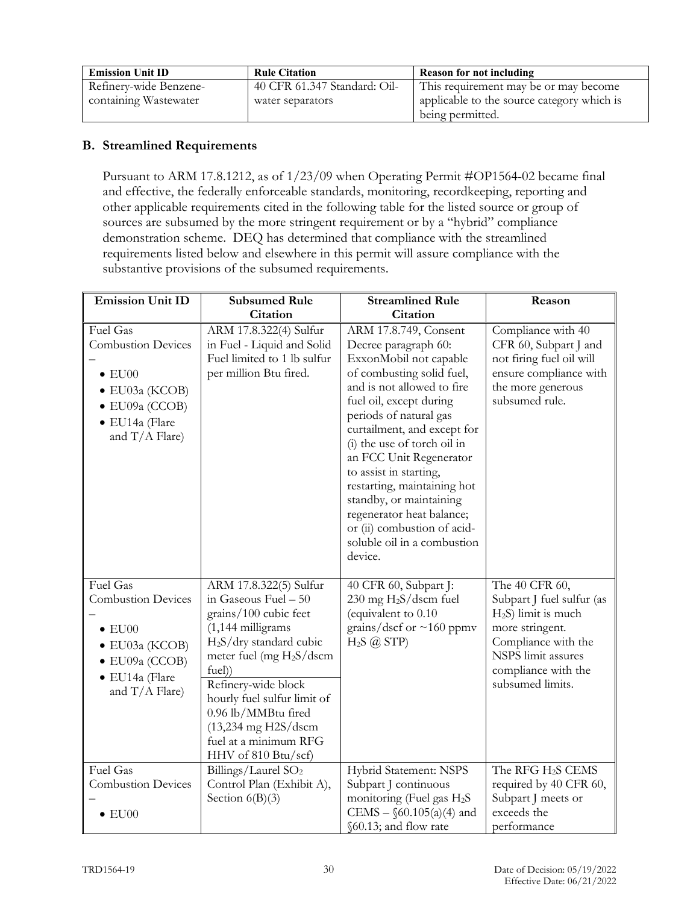| <b>Emission Unit ID</b> | <b>Rule Citation</b>         | <b>Reason for not including</b>            |
|-------------------------|------------------------------|--------------------------------------------|
| Refinery-wide Benzene-  | 40 CFR 61.347 Standard: Oil- | This requirement may be or may become      |
| containing Wastewater   | water separators             | applicable to the source category which is |
|                         |                              | being permitted.                           |

## **B. Streamlined Requirements**

Pursuant to ARM 17.8.1212, as of 1/23/09 when Operating Permit #OP1564-02 became final and effective, the federally enforceable standards, monitoring, recordkeeping, reporting and other applicable requirements cited in the following table for the listed source or group of sources are subsumed by the more stringent requirement or by a "hybrid" compliance demonstration scheme. DEQ has determined that compliance with the streamlined requirements listed below and elsewhere in this permit will assure compliance with the substantive provisions of the subsumed requirements.

| <b>Emission Unit ID</b>                                                                                                                           | <b>Subsumed Rule</b>                                                                                                                                                                                                                                                                                                                                    | <b>Streamlined Rule</b>                                                                                                                                                                                                                                                                                                                                                                                                                                                    | Reason                                                                                                                                                                           |
|---------------------------------------------------------------------------------------------------------------------------------------------------|---------------------------------------------------------------------------------------------------------------------------------------------------------------------------------------------------------------------------------------------------------------------------------------------------------------------------------------------------------|----------------------------------------------------------------------------------------------------------------------------------------------------------------------------------------------------------------------------------------------------------------------------------------------------------------------------------------------------------------------------------------------------------------------------------------------------------------------------|----------------------------------------------------------------------------------------------------------------------------------------------------------------------------------|
|                                                                                                                                                   | Citation                                                                                                                                                                                                                                                                                                                                                | <b>Citation</b>                                                                                                                                                                                                                                                                                                                                                                                                                                                            |                                                                                                                                                                                  |
| Fuel Gas<br><b>Combustion Devices</b><br>$\bullet$ EU00<br>$\bullet$ EU03a (KCOB)<br>$\bullet$ EU09a (CCOB)<br>· EU14a (Flare<br>and $T/A$ Flare) | ARM 17.8.322(4) Sulfur<br>in Fuel - Liquid and Solid<br>Fuel limited to 1 lb sulfur<br>per million Btu fired.                                                                                                                                                                                                                                           | ARM 17.8.749, Consent<br>Decree paragraph 60:<br>ExxonMobil not capable<br>of combusting solid fuel,<br>and is not allowed to fire<br>fuel oil, except during<br>periods of natural gas<br>curtailment, and except for<br>(i) the use of torch oil in<br>an FCC Unit Regenerator<br>to assist in starting,<br>restarting, maintaining hot<br>standby, or maintaining<br>regenerator heat balance;<br>or (ii) combustion of acid-<br>soluble oil in a combustion<br>device. | Compliance with 40<br>CFR 60, Subpart J and<br>not firing fuel oil will<br>ensure compliance with<br>the more generous<br>subsumed rule.                                         |
| Fuel Gas<br><b>Combustion Devices</b><br>$\bullet$ EU00<br>$\bullet$ EU03a (KCOB)<br>$\bullet$ EU09a (CCOB)<br>· EU14a (Flare<br>and $T/A$ Flare) | ARM 17.8.322(5) Sulfur<br>in Gaseous Fuel - 50<br>grains/100 cubic feet<br>$(1,144 \text{ milligrams})$<br>H <sub>2</sub> S/dry standard cubic<br>meter fuel (mg $H_2S/dscm$<br>fuel)<br>Refinery-wide block<br>hourly fuel sulfur limit of<br>0.96 lb/MMBtu fired<br>$(13,234 \text{ mg } H2S/dscm)$<br>fuel at a minimum RFG<br>$HHV$ of 810 Btu/scf) | 40 CFR 60, Subpart J:<br>230 mg H <sub>2</sub> S/dscm fuel<br>(equivalent to 0.10<br>grains/dscf or $\sim$ 160 ppmv<br>$H_2S$ ( <i>a</i> ) STP)                                                                                                                                                                                                                                                                                                                            | The 40 CFR 60,<br>Subpart J fuel sulfur (as<br>$H_2S$ ) limit is much<br>more stringent.<br>Compliance with the<br>NSPS limit assures<br>compliance with the<br>subsumed limits. |
| Fuel Gas<br><b>Combustion Devices</b><br>$\bullet$ EU00                                                                                           | Billings/Laurel SO <sub>2</sub><br>Control Plan (Exhibit A),<br>Section $6(B)(3)$                                                                                                                                                                                                                                                                       | Hybrid Statement: NSPS<br>Subpart J continuous<br>monitoring (Fuel gas H <sub>2</sub> S<br>CEMS – $$60.105(a)(4)$ and<br>§60.13; and flow rate                                                                                                                                                                                                                                                                                                                             | The RFG H <sub>2</sub> S CEMS<br>required by 40 CFR 60,<br>Subpart J meets or<br>exceeds the<br>performance                                                                      |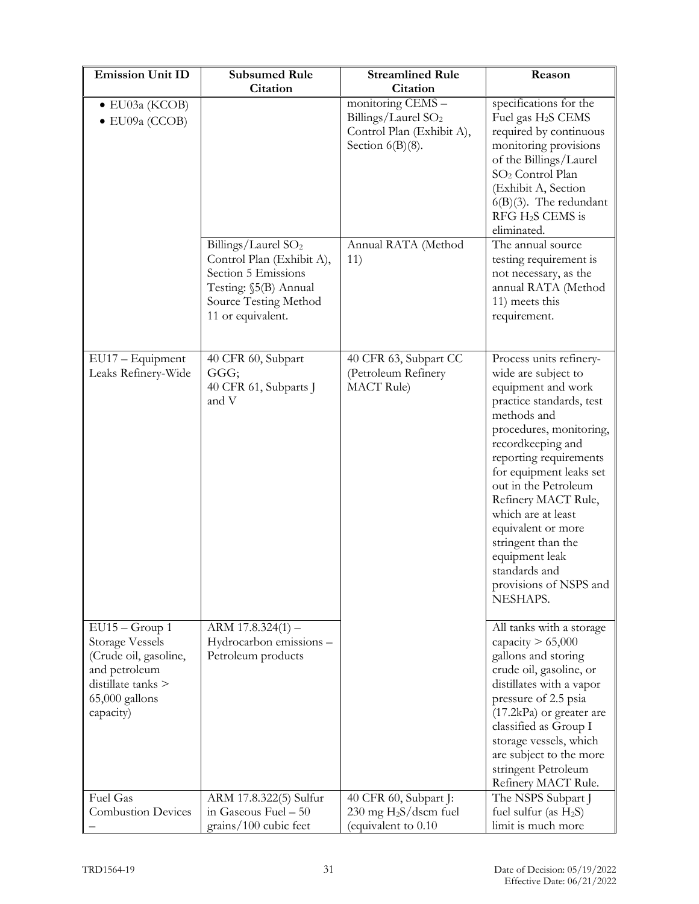| <b>Emission Unit ID</b>                                                                                                                   | <b>Subsumed Rule</b>                                                                                                                                       | <b>Streamlined Rule</b>                                                                                                                | Reason                                                                                                                                                                                                                                                                                                                                                                                                         |
|-------------------------------------------------------------------------------------------------------------------------------------------|------------------------------------------------------------------------------------------------------------------------------------------------------------|----------------------------------------------------------------------------------------------------------------------------------------|----------------------------------------------------------------------------------------------------------------------------------------------------------------------------------------------------------------------------------------------------------------------------------------------------------------------------------------------------------------------------------------------------------------|
|                                                                                                                                           | <b>Citation</b>                                                                                                                                            | <b>Citation</b>                                                                                                                        |                                                                                                                                                                                                                                                                                                                                                                                                                |
| · EU03a (KCOB)<br>$\bullet$ EU09a (CCOB)                                                                                                  | Billings/Laurel SO <sub>2</sub><br>Control Plan (Exhibit A),<br>Section 5 Emissions<br>Testing: §5(B) Annual<br>Source Testing Method<br>11 or equivalent. | monitoring CEMS -<br>Billings/Laurel SO <sub>2</sub><br>Control Plan (Exhibit A),<br>Section $6(B)(8)$ .<br>Annual RATA (Method<br>11) | specifications for the<br>Fuel gas H <sub>2</sub> S CEMS<br>required by continuous<br>monitoring provisions<br>of the Billings/Laurel<br>SO <sub>2</sub> Control Plan<br>(Exhibit A, Section<br>$6(B)(3)$ . The redundant<br>$RFG H2S$ CEMS is<br>eliminated.<br>The annual source<br>testing requirement is<br>not necessary, as the<br>annual RATA (Method<br>11) meets this<br>requirement.                 |
| EU17 - Equipment<br>Leaks Refinery-Wide                                                                                                   | 40 CFR 60, Subpart<br>GGG;<br>40 CFR 61, Subparts J<br>and V                                                                                               | 40 CFR 63, Subpart CC<br>(Petroleum Refinery<br><b>MACT</b> Rule)                                                                      | Process units refinery-<br>wide are subject to<br>equipment and work<br>practice standards, test<br>methods and<br>procedures, monitoring,<br>recordkeeping and<br>reporting requirements<br>for equipment leaks set<br>out in the Petroleum<br>Refinery MACT Rule,<br>which are at least<br>equivalent or more<br>stringent than the<br>equipment leak<br>standards and<br>provisions of NSPS and<br>NESHAPS. |
| $EU15 - Group 1$<br><b>Storage Vessels</b><br>(Crude oil, gasoline,<br>and petroleum<br>distillate tanks ><br>65,000 gallons<br>capacity) | $ARM$ 17.8.324(1) –<br>Hydrocarbon emissions -<br>Petroleum products                                                                                       |                                                                                                                                        | All tanks with a storage<br>capacity $> 65,000$<br>gallons and storing<br>crude oil, gasoline, or<br>distillates with a vapor<br>pressure of 2.5 psia<br>$(17.2kPa)$ or greater are<br>classified as Group I<br>storage vessels, which<br>are subject to the more<br>stringent Petroleum<br>Refinery MACT Rule.                                                                                                |
| Fuel Gas<br><b>Combustion Devices</b>                                                                                                     | ARM 17.8.322(5) Sulfur<br>in Gaseous Fuel - 50                                                                                                             | 40 CFR 60, Subpart J:<br>$230 \text{ mg H}_2\text{S/dscm}$ fuel                                                                        | The NSPS Subpart J<br>fuel sulfur (as $H_2S$ )                                                                                                                                                                                                                                                                                                                                                                 |
|                                                                                                                                           | grains/100 cubic feet                                                                                                                                      | (equivalent to 0.10                                                                                                                    | limit is much more                                                                                                                                                                                                                                                                                                                                                                                             |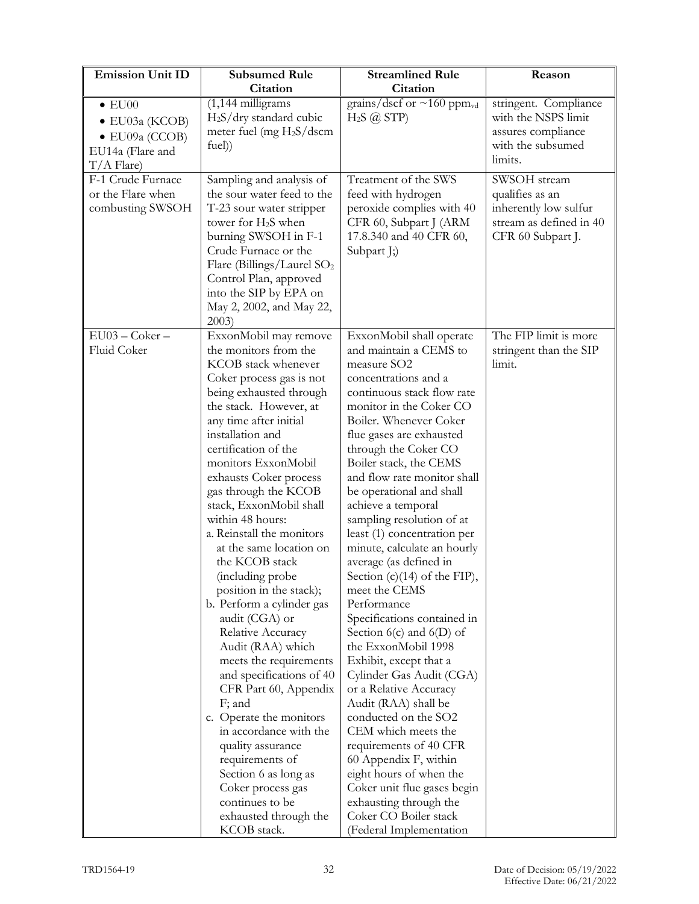| <b>Emission Unit ID</b>                                                                                | <b>Subsumed Rule</b>                                                                                                                                                                                                                                                                                                                                                                                                                                                                                                                                                                                                                                                                                                                                                                                                                                                 | <b>Streamlined Rule</b>                                                                                                                                                                                                                                                                                                                                                                                                                                                                                                                                                                                                                                                                                                                                                                                                                                                                                                                                                                | Reason                                                                                                   |
|--------------------------------------------------------------------------------------------------------|----------------------------------------------------------------------------------------------------------------------------------------------------------------------------------------------------------------------------------------------------------------------------------------------------------------------------------------------------------------------------------------------------------------------------------------------------------------------------------------------------------------------------------------------------------------------------------------------------------------------------------------------------------------------------------------------------------------------------------------------------------------------------------------------------------------------------------------------------------------------|----------------------------------------------------------------------------------------------------------------------------------------------------------------------------------------------------------------------------------------------------------------------------------------------------------------------------------------------------------------------------------------------------------------------------------------------------------------------------------------------------------------------------------------------------------------------------------------------------------------------------------------------------------------------------------------------------------------------------------------------------------------------------------------------------------------------------------------------------------------------------------------------------------------------------------------------------------------------------------------|----------------------------------------------------------------------------------------------------------|
|                                                                                                        | Citation                                                                                                                                                                                                                                                                                                                                                                                                                                                                                                                                                                                                                                                                                                                                                                                                                                                             | <b>Citation</b>                                                                                                                                                                                                                                                                                                                                                                                                                                                                                                                                                                                                                                                                                                                                                                                                                                                                                                                                                                        |                                                                                                          |
| $\bullet$ EU00<br>$\bullet$ EU03a (KCOB)<br>$\bullet$ EU09a (CCOB)<br>EU14a (Flare and<br>$T/A$ Flare) | $(1,144$ milligrams<br>$H2S/dry$ standard cubic<br>meter fuel (mg $H_2S/dscm$<br>fuel)                                                                                                                                                                                                                                                                                                                                                                                                                                                                                                                                                                                                                                                                                                                                                                               | grains/dscf or $\sim$ 160 ppm <sub>vd</sub><br>$H_2S$ ( <i>a</i> ) STP)                                                                                                                                                                                                                                                                                                                                                                                                                                                                                                                                                                                                                                                                                                                                                                                                                                                                                                                | stringent. Compliance<br>with the NSPS limit<br>assures compliance<br>with the subsumed<br>limits.       |
| F-1 Crude Furnace<br>or the Flare when<br>combusting SWSOH                                             | Sampling and analysis of<br>the sour water feed to the<br>T-23 sour water stripper<br>tower for H <sub>2</sub> S when<br>burning SWSOH in F-1<br>Crude Furnace or the<br>Flare (Billings/Laurel $SO_2$<br>Control Plan, approved<br>into the SIP by EPA on<br>May 2, 2002, and May 22,<br>2003)                                                                                                                                                                                                                                                                                                                                                                                                                                                                                                                                                                      | Treatment of the SWS<br>feed with hydrogen<br>peroxide complies with 40<br>CFR 60, Subpart J (ARM<br>17.8.340 and 40 CFR 60,<br>Subpart J;)                                                                                                                                                                                                                                                                                                                                                                                                                                                                                                                                                                                                                                                                                                                                                                                                                                            | SWSOH stream<br>qualifies as an<br>inherently low sulfur<br>stream as defined in 40<br>CFR 60 Subpart J. |
| EU03 - Coker -<br>Fluid Coker                                                                          | ExxonMobil may remove<br>the monitors from the<br>KCOB stack whenever<br>Coker process gas is not<br>being exhausted through<br>the stack. However, at<br>any time after initial<br>installation and<br>certification of the<br>monitors ExxonMobil<br>exhausts Coker process<br>gas through the KCOB<br>stack, ExxonMobil shall<br>within 48 hours:<br>a. Reinstall the monitors<br>at the same location on<br>the KCOB stack<br>(including probe<br>position in the stack);<br>b. Perform a cylinder gas<br>audit (CGA) or<br>Relative Accuracy<br>Audit (RAA) which<br>meets the requirements<br>and specifications of 40<br>CFR Part 60, Appendix<br>F; and<br>c. Operate the monitors<br>in accordance with the<br>quality assurance<br>requirements of<br>Section 6 as long as<br>Coker process gas<br>continues to be<br>exhausted through the<br>KCOB stack. | ExxonMobil shall operate<br>and maintain a CEMS to<br>measure SO <sub>2</sub><br>concentrations and a<br>continuous stack flow rate<br>monitor in the Coker CO<br>Boiler. Whenever Coker<br>flue gases are exhausted<br>through the Coker CO<br>Boiler stack, the CEMS<br>and flow rate monitor shall<br>be operational and shall<br>achieve a temporal<br>sampling resolution of at<br>least (1) concentration per<br>minute, calculate an hourly<br>average (as defined in<br>Section $(c)(14)$ of the FIP),<br>meet the CEMS<br>Performance<br>Specifications contained in<br>Section $6(c)$ and $6(D)$ of<br>the ExxonMobil 1998<br>Exhibit, except that a<br>Cylinder Gas Audit (CGA)<br>or a Relative Accuracy<br>Audit (RAA) shall be<br>conducted on the SO2<br>CEM which meets the<br>requirements of 40 CFR<br>60 Appendix F, within<br>eight hours of when the<br>Coker unit flue gases begin<br>exhausting through the<br>Coker CO Boiler stack<br>(Federal Implementation | The FIP limit is more<br>stringent than the SIP<br>limit.                                                |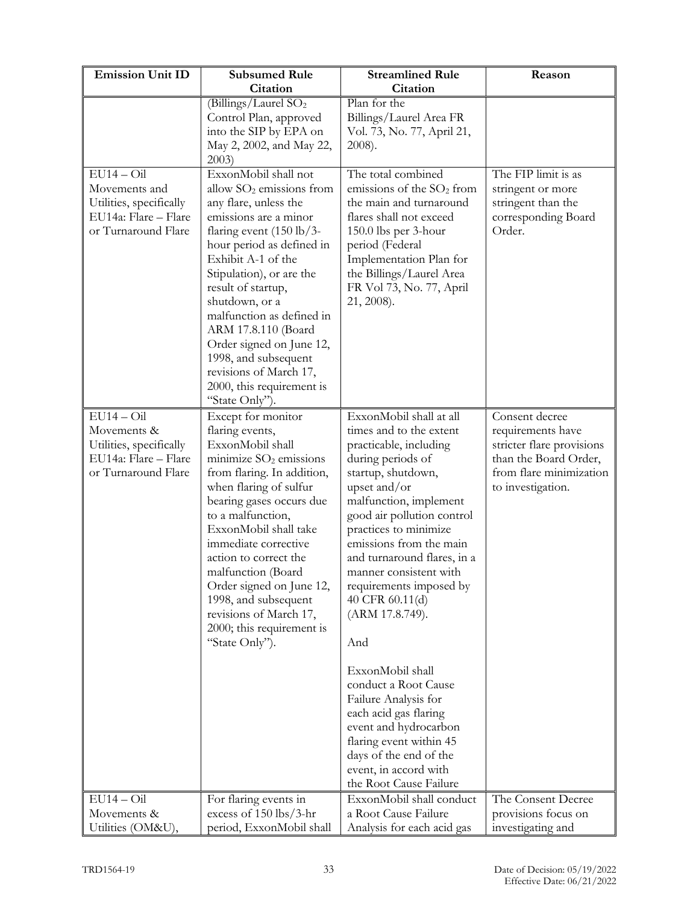| <b>Emission Unit ID</b>                                                                                 | <b>Subsumed Rule</b>                                                                                                                                                                                                                                                                                                                                                                                                                                | <b>Streamlined Rule</b>                                                                                                                                                                                                                                                                                                                                                                                                                                                                                                                                                                  | Reason                                                                                                                                    |
|---------------------------------------------------------------------------------------------------------|-----------------------------------------------------------------------------------------------------------------------------------------------------------------------------------------------------------------------------------------------------------------------------------------------------------------------------------------------------------------------------------------------------------------------------------------------------|------------------------------------------------------------------------------------------------------------------------------------------------------------------------------------------------------------------------------------------------------------------------------------------------------------------------------------------------------------------------------------------------------------------------------------------------------------------------------------------------------------------------------------------------------------------------------------------|-------------------------------------------------------------------------------------------------------------------------------------------|
|                                                                                                         | Citation                                                                                                                                                                                                                                                                                                                                                                                                                                            | Citation                                                                                                                                                                                                                                                                                                                                                                                                                                                                                                                                                                                 |                                                                                                                                           |
|                                                                                                         | (Billings/Laurel SO <sub>2</sub><br>Control Plan, approved<br>into the SIP by EPA on<br>May 2, 2002, and May 22,<br>2003)                                                                                                                                                                                                                                                                                                                           | Plan for the<br>Billings/Laurel Area FR<br>Vol. 73, No. 77, April 21,<br>2008).                                                                                                                                                                                                                                                                                                                                                                                                                                                                                                          |                                                                                                                                           |
| $EU14 - Oil$<br>Movements and<br>Utilities, specifically<br>EU14a: Flare - Flare<br>or Turnaround Flare | ExxonMobil shall not<br>allow $SO2$ emissions from<br>any flare, unless the<br>emissions are a minor<br>flaring event $(150 \text{ lb}/3 -$<br>hour period as defined in<br>Exhibit A-1 of the<br>Stipulation), or are the<br>result of startup,<br>shutdown, or a<br>malfunction as defined in<br>ARM 17.8.110 (Board<br>Order signed on June 12,<br>1998, and subsequent<br>revisions of March 17,<br>2000, this requirement is<br>"State Only"). | The total combined<br>emissions of the SO <sub>2</sub> from<br>the main and turnaround<br>flares shall not exceed<br>150.0 lbs per 3-hour<br>period (Federal<br>Implementation Plan for<br>the Billings/Laurel Area<br>FR Vol 73, No. 77, April<br>21, 2008).                                                                                                                                                                                                                                                                                                                            | The FIP limit is as<br>stringent or more<br>stringent than the<br>corresponding Board<br>Order.                                           |
| $EU14-Oi1$<br>Movements &<br>Utilities, specifically<br>EU14a: Flare - Flare<br>or Turnaround Flare     | Except for monitor<br>flaring events,<br>ExxonMobil shall<br>minimize $SO2$ emissions<br>from flaring. In addition,<br>when flaring of sulfur<br>bearing gases occurs due<br>to a malfunction,<br>ExxonMobil shall take<br>immediate corrective<br>action to correct the<br>malfunction (Board<br>Order signed on June 12,<br>1998, and subsequent<br>revisions of March 17,<br>2000; this requirement is<br>"State Only").                         | ExxonMobil shall at all<br>times and to the extent<br>practicable, including<br>during periods of<br>startup, shutdown,<br>upset and/or<br>malfunction, implement<br>good air pollution control<br>practices to minimize<br>emissions from the main<br>and turnaround flares, in a<br>manner consistent with<br>requirements imposed by<br>40 CFR 60.11(d)<br>(ARM 17.8.749).<br>And<br>ExxonMobil shall<br>conduct a Root Cause<br>Failure Analysis for<br>each acid gas flaring<br>event and hydrocarbon<br>flaring event within 45<br>days of the end of the<br>event, in accord with | Consent decree<br>requirements have<br>stricter flare provisions<br>than the Board Order,<br>from flare minimization<br>to investigation. |
| $EU14 - Oil$                                                                                            | For flaring events in                                                                                                                                                                                                                                                                                                                                                                                                                               | the Root Cause Failure<br>ExxonMobil shall conduct                                                                                                                                                                                                                                                                                                                                                                                                                                                                                                                                       | The Consent Decree                                                                                                                        |
| Movements &                                                                                             | excess of 150 lbs/3-hr                                                                                                                                                                                                                                                                                                                                                                                                                              | a Root Cause Failure                                                                                                                                                                                                                                                                                                                                                                                                                                                                                                                                                                     | provisions focus on                                                                                                                       |
| Utilities (OM&U),                                                                                       | period, ExxonMobil shall                                                                                                                                                                                                                                                                                                                                                                                                                            | Analysis for each acid gas                                                                                                                                                                                                                                                                                                                                                                                                                                                                                                                                                               | investigating and                                                                                                                         |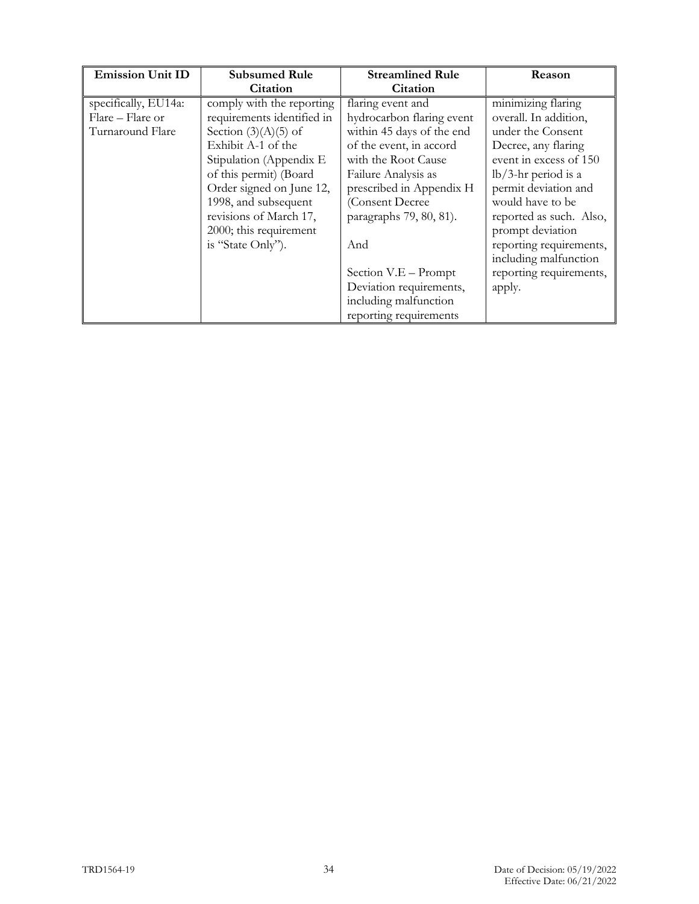| <b>Emission Unit ID</b> | <b>Subsumed Rule</b>       | <b>Streamlined Rule</b>   | <b>Reason</b>           |
|-------------------------|----------------------------|---------------------------|-------------------------|
|                         | Citation                   | <b>Citation</b>           |                         |
| specifically, EU14a:    | comply with the reporting  | flaring event and         | minimizing flaring      |
| Flare - Flare or        | requirements identified in | hydrocarbon flaring event | overall. In addition,   |
| Turnaround Flare        | Section $(3)(A)(5)$ of     | within 45 days of the end | under the Consent       |
|                         | Exhibit A-1 of the         | of the event, in accord   | Decree, any flaring     |
|                         | Stipulation (Appendix E    | with the Root Cause       | event in excess of 150  |
|                         | of this permit) (Board     | Failure Analysis as       | $lb/3$ -hr period is a  |
|                         | Order signed on June 12,   | prescribed in Appendix H  | permit deviation and    |
|                         | 1998, and subsequent       | (Consent Decree           | would have to be        |
|                         | revisions of March 17,     | paragraphs 79, 80, 81).   | reported as such. Also, |
|                         | 2000; this requirement     |                           | prompt deviation        |
|                         | is "State Only").          | And                       | reporting requirements, |
|                         |                            |                           | including malfunction   |
|                         |                            | Section V.E - Prompt      | reporting requirements, |
|                         |                            | Deviation requirements,   | apply.                  |
|                         |                            | including malfunction     |                         |
|                         |                            | reporting requirements    |                         |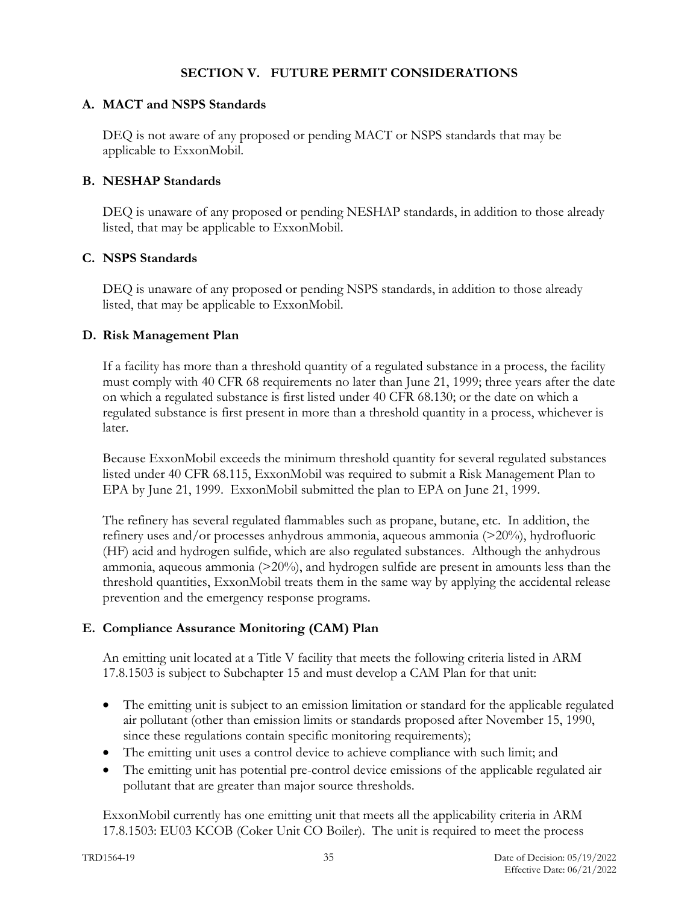## **SECTION V. FUTURE PERMIT CONSIDERATIONS**

## **A. MACT and NSPS Standards**

DEQ is not aware of any proposed or pending MACT or NSPS standards that may be applicable to ExxonMobil.

# **B. NESHAP Standards**

DEQ is unaware of any proposed or pending NESHAP standards, in addition to those already listed, that may be applicable to ExxonMobil.

## **C. NSPS Standards**

DEQ is unaware of any proposed or pending NSPS standards, in addition to those already listed, that may be applicable to ExxonMobil.

## **D. Risk Management Plan**

If a facility has more than a threshold quantity of a regulated substance in a process, the facility must comply with 40 CFR 68 requirements no later than June 21, 1999; three years after the date on which a regulated substance is first listed under 40 CFR 68.130; or the date on which a regulated substance is first present in more than a threshold quantity in a process, whichever is later.

Because ExxonMobil exceeds the minimum threshold quantity for several regulated substances listed under 40 CFR 68.115, ExxonMobil was required to submit a Risk Management Plan to EPA by June 21, 1999. ExxonMobil submitted the plan to EPA on June 21, 1999.

The refinery has several regulated flammables such as propane, butane, etc. In addition, the refinery uses and/or processes anhydrous ammonia, aqueous ammonia (>20%), hydrofluoric (HF) acid and hydrogen sulfide, which are also regulated substances. Although the anhydrous ammonia, aqueous ammonia  $(20\%)$ , and hydrogen sulfide are present in amounts less than the threshold quantities, ExxonMobil treats them in the same way by applying the accidental release prevention and the emergency response programs.

# **E. Compliance Assurance Monitoring (CAM) Plan**

An emitting unit located at a Title V facility that meets the following criteria listed in ARM 17.8.1503 is subject to Subchapter 15 and must develop a CAM Plan for that unit:

- The emitting unit is subject to an emission limitation or standard for the applicable regulated air pollutant (other than emission limits or standards proposed after November 15, 1990, since these regulations contain specific monitoring requirements);
- The emitting unit uses a control device to achieve compliance with such limit; and
- The emitting unit has potential pre-control device emissions of the applicable regulated air pollutant that are greater than major source thresholds.

ExxonMobil currently has one emitting unit that meets all the applicability criteria in ARM 17.8.1503: EU03 KCOB (Coker Unit CO Boiler). The unit is required to meet the process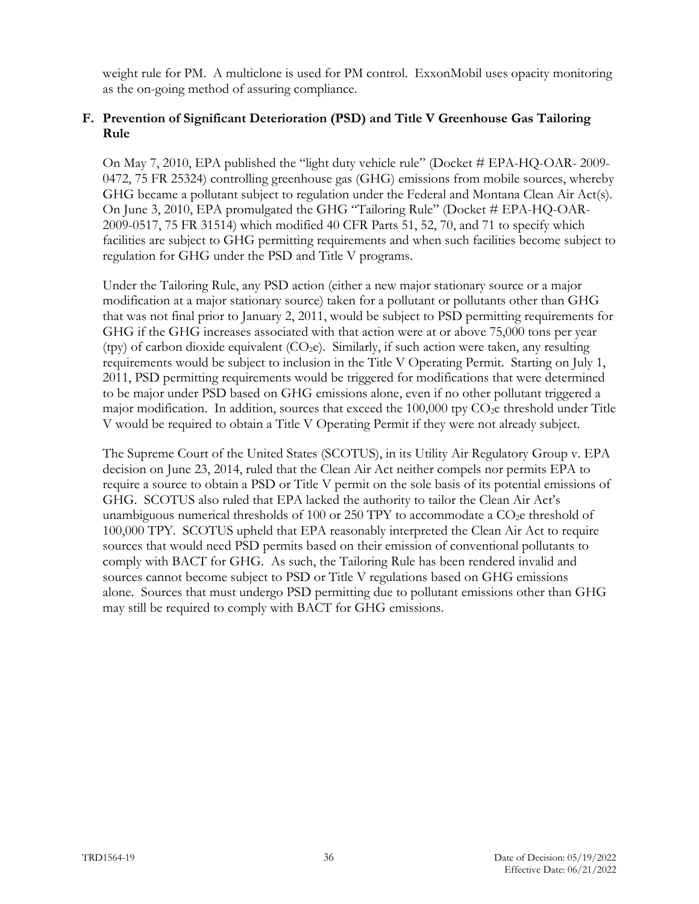weight rule for PM. A multiclone is used for PM control. ExxonMobil uses opacity monitoring as the on-going method of assuring compliance.

## **F. Prevention of Significant Deterioration (PSD) and Title V Greenhouse Gas Tailoring Rule**

On May 7, 2010, EPA published the "light duty vehicle rule" (Docket # EPA-HQ-OAR- 2009- 0472, 75 FR 25324) controlling greenhouse gas (GHG) emissions from mobile sources, whereby GHG became a pollutant subject to regulation under the Federal and Montana Clean Air Act(s). On June 3, 2010, EPA promulgated the GHG "Tailoring Rule" (Docket # EPA-HQ-OAR-2009-0517, 75 FR 31514) which modified 40 CFR Parts 51, 52, 70, and 71 to specify which facilities are subject to GHG permitting requirements and when such facilities become subject to regulation for GHG under the PSD and Title V programs.

Under the Tailoring Rule, any PSD action (either a new major stationary source or a major modification at a major stationary source) taken for a pollutant or pollutants other than GHG that was not final prior to January 2, 2011, would be subject to PSD permitting requirements for GHG if the GHG increases associated with that action were at or above 75,000 tons per year (tpy) of carbon dioxide equivalent  $(CO<sub>2</sub>e)$ . Similarly, if such action were taken, any resulting requirements would be subject to inclusion in the Title V Operating Permit. Starting on July 1, 2011, PSD permitting requirements would be triggered for modifications that were determined to be major under PSD based on GHG emissions alone, even if no other pollutant triggered a major modification. In addition, sources that exceed the  $100,000$  tpy  $CO<sub>2</sub>e$  threshold under Title V would be required to obtain a Title V Operating Permit if they were not already subject.

The Supreme Court of the United States (SCOTUS), in its Utility Air Regulatory Group v. EPA decision on June 23, 2014, ruled that the Clean Air Act neither compels nor permits EPA to require a source to obtain a PSD or Title V permit on the sole basis of its potential emissions of GHG. SCOTUS also ruled that EPA lacked the authority to tailor the Clean Air Act's unambiguous numerical thresholds of 100 or 250 TPY to accommodate a  $CO<sub>2</sub>e$  threshold of 100,000 TPY. SCOTUS upheld that EPA reasonably interpreted the Clean Air Act to require sources that would need PSD permits based on their emission of conventional pollutants to comply with BACT for GHG. As such, the Tailoring Rule has been rendered invalid and sources cannot become subject to PSD or Title V regulations based on GHG emissions alone. Sources that must undergo PSD permitting due to pollutant emissions other than GHG may still be required to comply with BACT for GHG emissions.